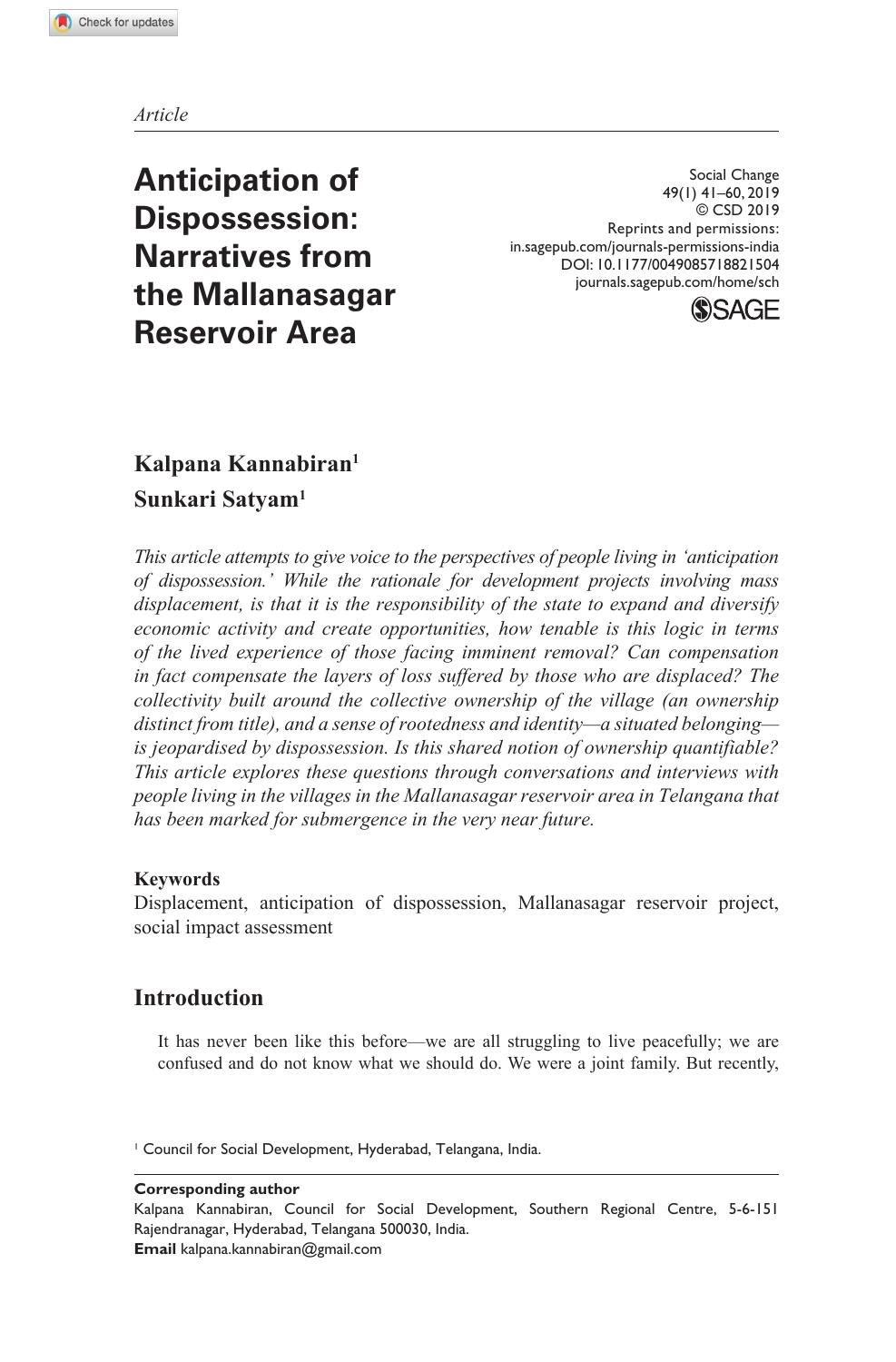*Article*

# **Anticipation of Dispossession: Narratives from the Mallanasagar Reservoir Area**

Social Change 49(1) 41–60, 2019 © CSD 2019 Reprints and permissions: in.sagepub.com/journals-permissions-india DOI: 10.1177/0049085718821504 journals.sagepub.com/home/sch



# **Kalpana Kannabiran1**

# **Sunkari Satyam1**

*This article attempts to give voice to the perspectives of people living in 'anticipation of dispossession.' While the rationale for development projects involving mass displacement, is that it is the responsibility of the state to expand and diversify economic activity and create opportunities, how tenable is this logic in terms of the lived experience of those facing imminent removal? Can compensation*  in fact compensate the layers of loss suffered by those who are displaced? The *collectivity built around the collective ownership of the village (an ownership distinct from title), and a sense of rootedness and identity—a situated belonging is jeopardised by dispossession. Is this shared notion of ownership quantifiable? This article explores these questions through conversations and interviews with people living in the villages in the Mallanasagar reservoir area in Telangana that has been marked for submergence in the very near future.*

#### **Keywords**

Displacement, anticipation of dispossession, Mallanasagar reservoir project, social impact assessment

# **Introduction**

It has never been like this before—we are all struggling to live peacefully; we are confused and do not know what we should do. We were a joint family. But recently,

<sup>1</sup> Council for Social Development, Hyderabad, Telangana, India.

**Corresponding author**

Kalpana Kannabiran, Council for Social Development, Southern Regional Centre, 5-6-151 Rajendranagar, Hyderabad, Telangana 500030, India.

**Email** kalpana.kannabiran@gmail.com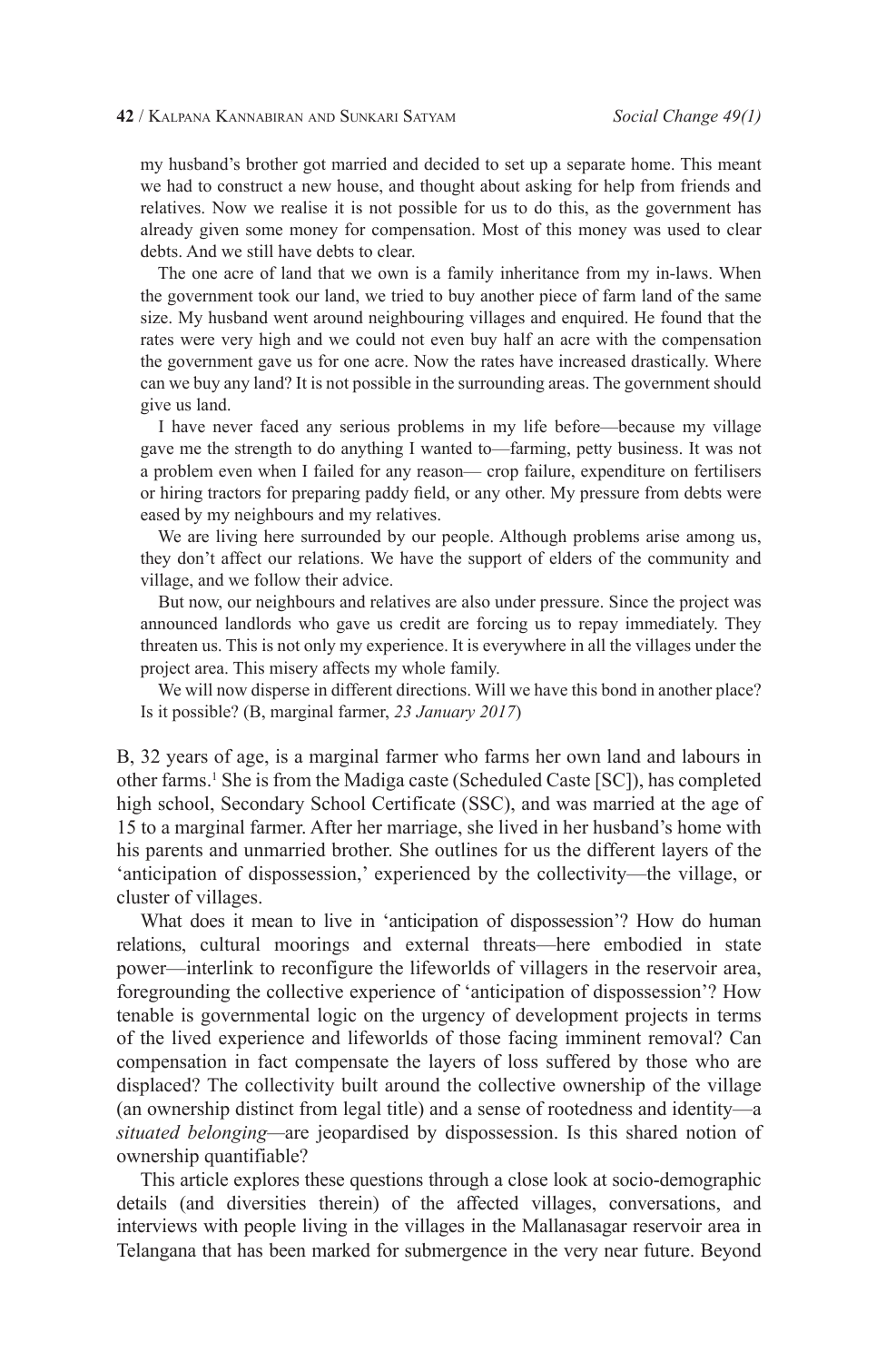#### **42** / Kalpana Kannabiran and Sunkari Satyam *Social Change 49(1)*

my husband's brother got married and decided to set up a separate home. This meant we had to construct a new house, and thought about asking for help from friends and relatives. Now we realise it is not possible for us to do this, as the government has already given some money for compensation. Most of this money was used to clear debts. And we still have debts to clear.

The one acre of land that we own is a family inheritance from my in-laws. When the government took our land, we tried to buy another piece of farm land of the same size. My husband went around neighbouring villages and enquired. He found that the rates were very high and we could not even buy half an acre with the compensation the government gave us for one acre. Now the rates have increased drastically. Where can we buy any land? It is not possible in the surrounding areas. The government should give us land.

I have never faced any serious problems in my life before—because my village gave me the strength to do anything I wanted to—farming, petty business. It was not a problem even when I failed for any reason— crop failure, expenditure on fertilisers or hiring tractors for preparing paddy field, or any other. My pressure from debts were eased by my neighbours and my relatives.

We are living here surrounded by our people. Although problems arise among us, they don't affect our relations. We have the support of elders of the community and village, and we follow their advice.

But now, our neighbours and relatives are also under pressure. Since the project was announced landlords who gave us credit are forcing us to repay immediately. They threaten us. This is not only my experience. It is everywhere in all the villages under the project area. This misery affects my whole family.

We will now disperse in different directions. Will we have this bond in another place? Is it possible? (B, marginal farmer, *23 January 2017*)

B, 32 years of age, is a marginal farmer who farms her own land and labours in other farms.1 She is from the Madiga caste (Scheduled Caste [SC]), has completed high school, Secondary School Certificate (SSC), and was married at the age of 15 to a marginal farmer. After her marriage, she lived in her husband's home with his parents and unmarried brother. She outlines for us the different layers of the 'anticipation of dispossession,' experienced by the collectivity—the village, or cluster of villages.

What does it mean to live in 'anticipation of dispossession'? How do human relations, cultural moorings and external threats—here embodied in state power—interlink to reconfigure the lifeworlds of villagers in the reservoir area, foregrounding the collective experience of 'anticipation of dispossession'? How tenable is governmental logic on the urgency of development projects in terms of the lived experience and lifeworlds of those facing imminent removal? Can compensation in fact compensate the layers of loss suffered by those who are displaced? The collectivity built around the collective ownership of the village (an ownership distinct from legal title) and a sense of rootedness and identity—a *situated belonging—*are jeopardised by dispossession. Is this shared notion of ownership quantifiable?

This article explores these questions through a close look at socio-demographic details (and diversities therein) of the affected villages, conversations, and interviews with people living in the villages in the Mallanasagar reservoir area in Telangana that has been marked for submergence in the very near future. Beyond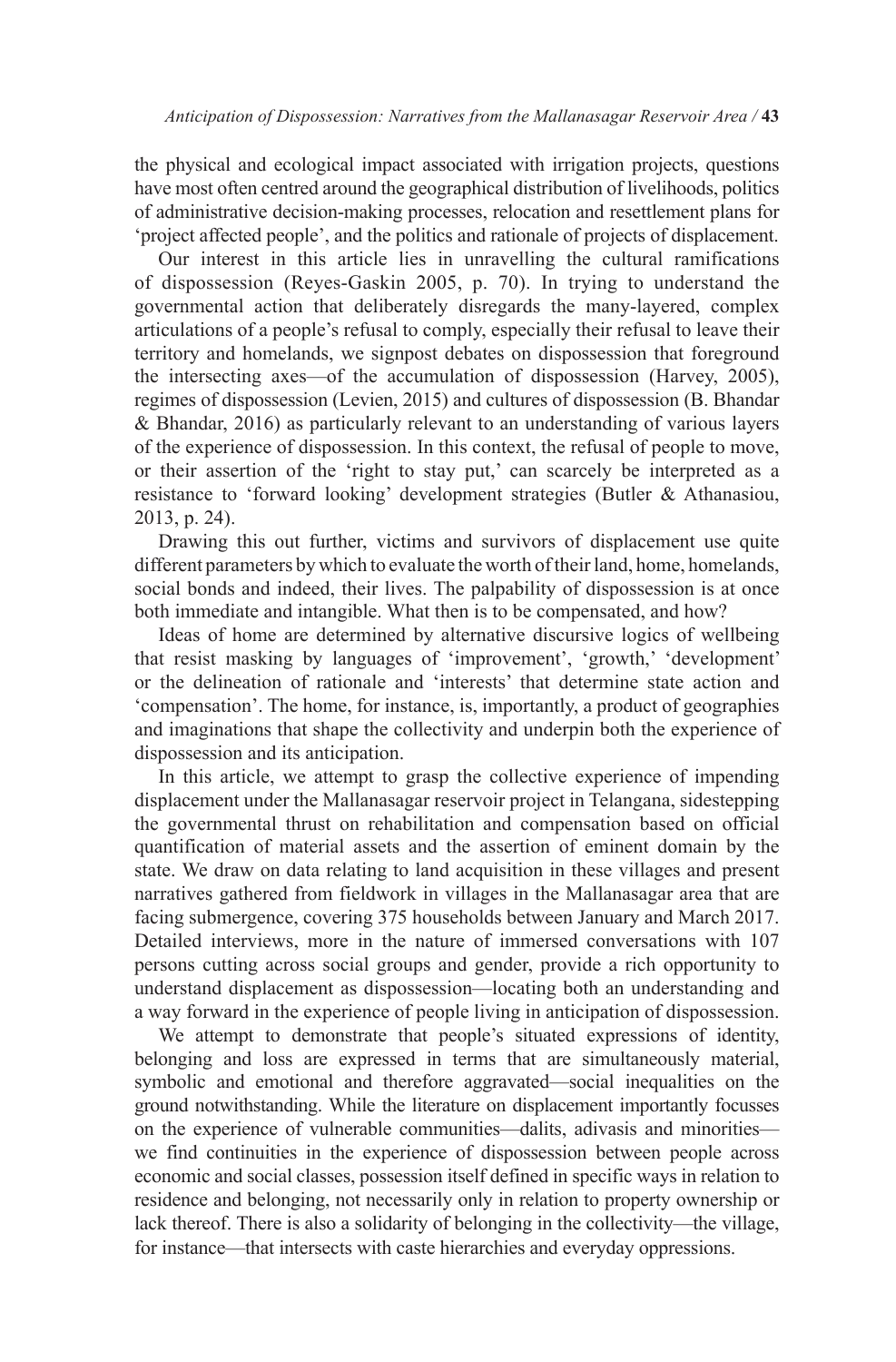the physical and ecological impact associated with irrigation projects, questions have most often centred around the geographical distribution of livelihoods, politics of administrative decision-making processes, relocation and resettlement plans for 'project affected people', and the politics and rationale of projects of displacement.

Our interest in this article lies in unravelling the cultural ramifications of dispossession (Reyes-Gaskin 2005, p. 70). In trying to understand the governmental action that deliberately disregards the many-layered, complex articulations of a people's refusal to comply, especially their refusal to leave their territory and homelands, we signpost debates on dispossession that foreground the intersecting axes—of the accumulation of dispossession (Harvey, 2005), regimes of dispossession (Levien, 2015) and cultures of dispossession (B. Bhandar & Bhandar, 2016) as particularly relevant to an understanding of various layers of the experience of dispossession. In this context, the refusal of people to move, or their assertion of the 'right to stay put,' can scarcely be interpreted as a resistance to 'forward looking' development strategies (Butler & Athanasiou, 2013, p. 24).

Drawing this out further, victims and survivors of displacement use quite different parameters by which to evaluate the worth of their land, home, homelands, social bonds and indeed, their lives. The palpability of dispossession is at once both immediate and intangible. What then is to be compensated, and how?

Ideas of home are determined by alternative discursive logics of wellbeing that resist masking by languages of 'improvement', 'growth,' 'development' or the delineation of rationale and 'interests' that determine state action and 'compensation'. The home, for instance, is, importantly, a product of geographies and imaginations that shape the collectivity and underpin both the experience of dispossession and its anticipation.

In this article, we attempt to grasp the collective experience of impending displacement under the Mallanasagar reservoir project in Telangana, sidestepping the governmental thrust on rehabilitation and compensation based on official quantification of material assets and the assertion of eminent domain by the state. We draw on data relating to land acquisition in these villages and present narratives gathered from fieldwork in villages in the Mallanasagar area that are facing submergence, covering 375 households between January and March 2017. Detailed interviews, more in the nature of immersed conversations with 107 persons cutting across social groups and gender, provide a rich opportunity to understand displacement as dispossession—locating both an understanding and a way forward in the experience of people living in anticipation of dispossession.

We attempt to demonstrate that people's situated expressions of identity, belonging and loss are expressed in terms that are simultaneously material, symbolic and emotional and therefore aggravated—social inequalities on the ground notwithstanding. While the literature on displacement importantly focusses on the experience of vulnerable communities—dalits, adivasis and minorities we find continuities in the experience of dispossession between people across economic and social classes, possession itself defined in specific ways in relation to residence and belonging, not necessarily only in relation to property ownership or lack thereof. There is also a solidarity of belonging in the collectivity—the village, for instance—that intersects with caste hierarchies and everyday oppressions.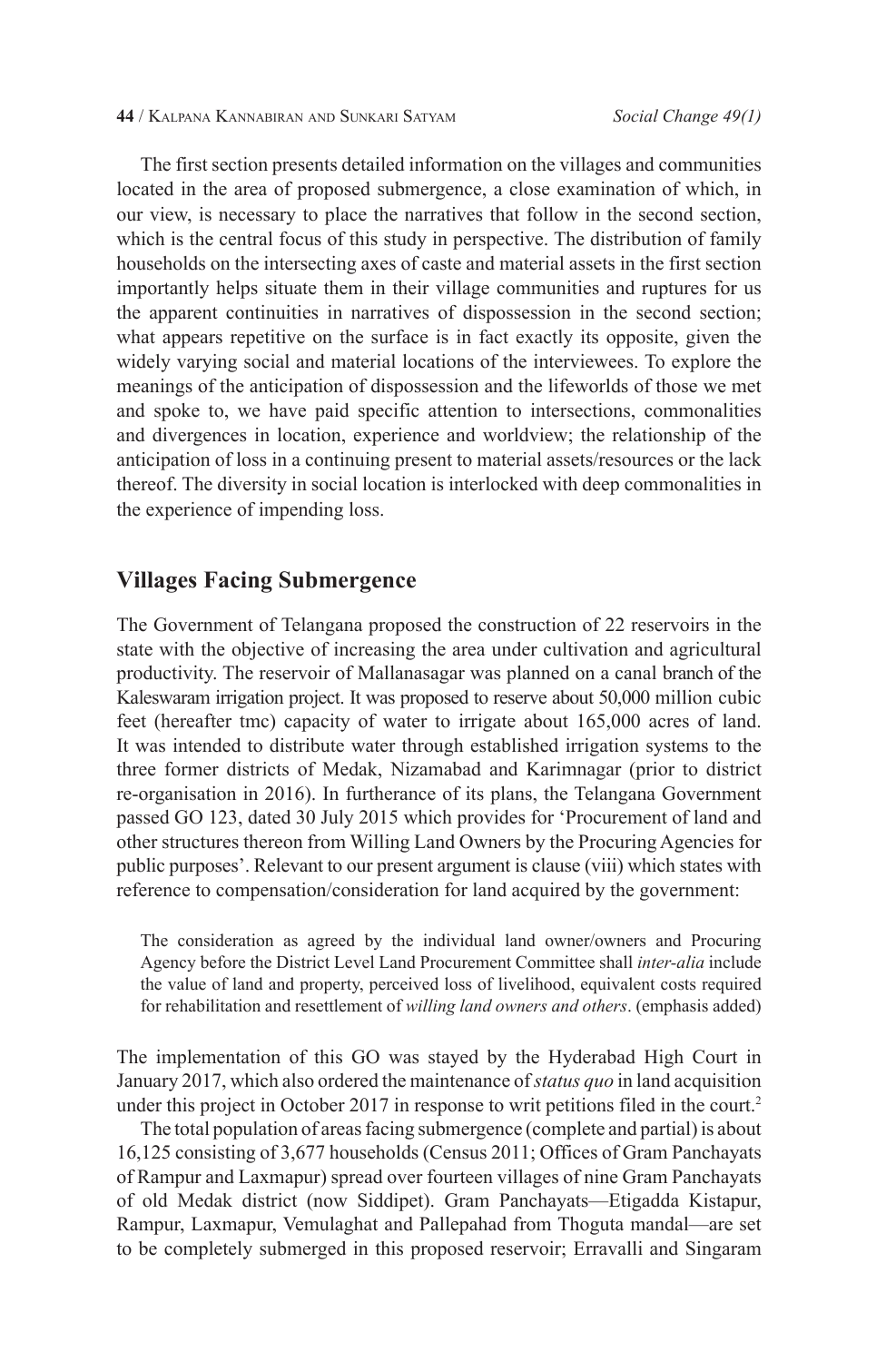The first section presents detailed information on the villages and communities located in the area of proposed submergence, a close examination of which, in our view, is necessary to place the narratives that follow in the second section, which is the central focus of this study in perspective. The distribution of family households on the intersecting axes of caste and material assets in the first section importantly helps situate them in their village communities and ruptures for us the apparent continuities in narratives of dispossession in the second section; what appears repetitive on the surface is in fact exactly its opposite, given the widely varying social and material locations of the interviewees. To explore the meanings of the anticipation of dispossession and the lifeworlds of those we met and spoke to, we have paid specific attention to intersections, commonalities and divergences in location, experience and worldview; the relationship of the anticipation of loss in a continuing present to material assets/resources or the lack thereof. The diversity in social location is interlocked with deep commonalities in the experience of impending loss.

## **Villages Facing Submergence**

The Government of Telangana proposed the construction of 22 reservoirs in the state with the objective of increasing the area under cultivation and agricultural productivity. The reservoir of Mallanasagar was planned on a canal branch of the Kaleswaram irrigation project. It was proposed to reserve about 50,000 million cubic feet (hereafter tmc) capacity of water to irrigate about 165,000 acres of land. It was intended to distribute water through established irrigation systems to the three former districts of Medak, Nizamabad and Karimnagar (prior to district re-organisation in 2016). In furtherance of its plans, the Telangana Government passed GO 123, dated 30 July 2015 which provides for 'Procurement of land and other structures thereon from Willing Land Owners by the Procuring Agencies for public purposes'. Relevant to our present argument is clause (viii) which states with reference to compensation/consideration for land acquired by the government:

The consideration as agreed by the individual land owner/owners and Procuring Agency before the District Level Land Procurement Committee shall *inter-alia* include the value of land and property, perceived loss of livelihood, equivalent costs required for rehabilitation and resettlement of *willing land owners and others*. (emphasis added)

The implementation of this GO was stayed by the Hyderabad High Court in January 2017, which also ordered the maintenance of *status quo* in land acquisition under this project in October 2017 in response to writ petitions filed in the court.<sup>2</sup>

The total population of areas facing submergence (complete and partial) is about 16,125 consisting of 3,677 households (Census 2011; Offices of Gram Panchayats of Rampur and Laxmapur) spread over fourteen villages of nine Gram Panchayats of old Medak district (now Siddipet). Gram Panchayats—Etigadda Kistapur, Rampur, Laxmapur, Vemulaghat and Pallepahad from Thoguta mandal—are set to be completely submerged in this proposed reservoir; Erravalli and Singaram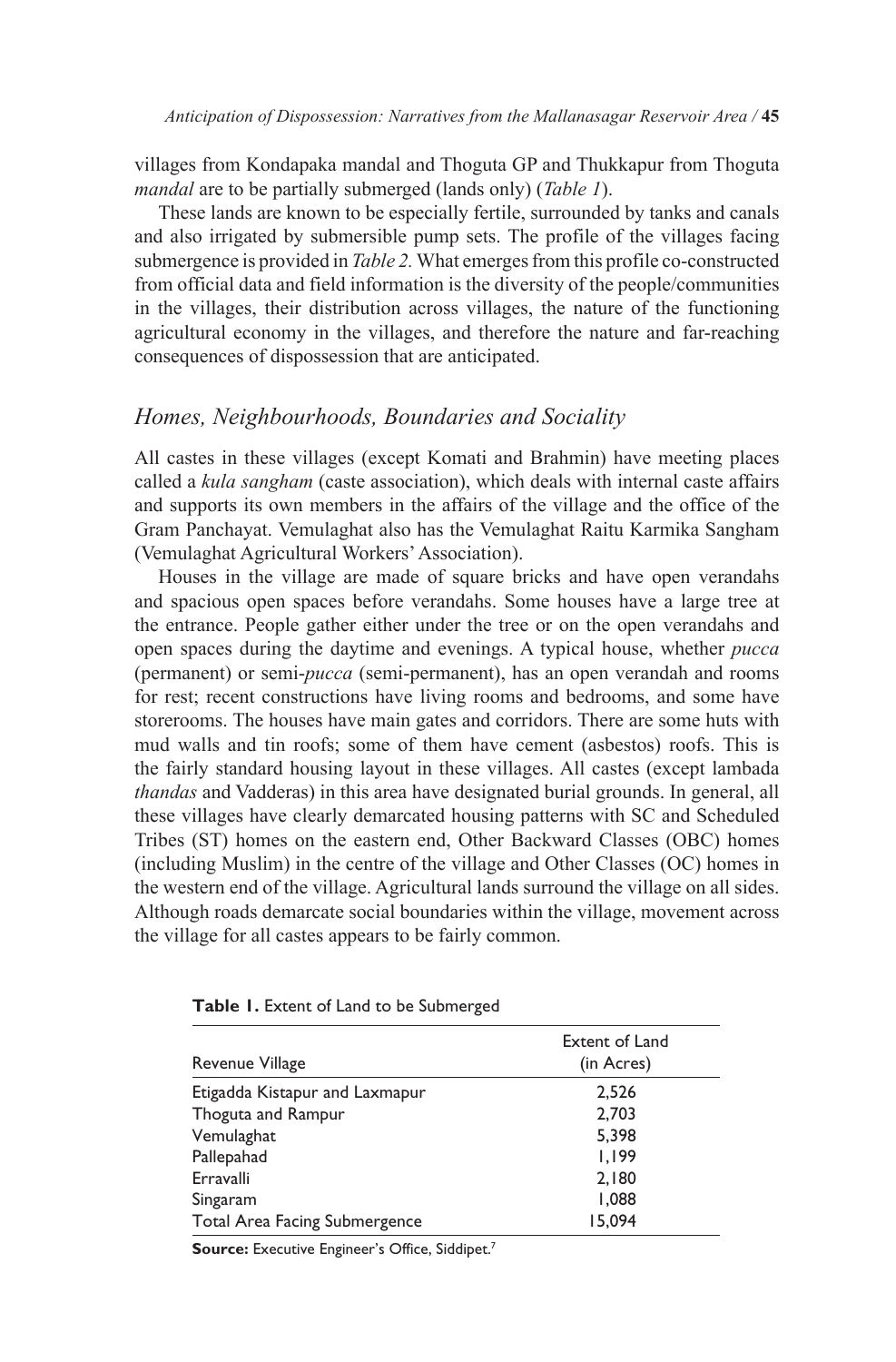villages from Kondapaka mandal and Thoguta GP and Thukkapur from Thoguta *mandal* are to be partially submerged (lands only) (*Table 1*).

These lands are known to be especially fertile, surrounded by tanks and canals and also irrigated by submersible pump sets. The profile of the villages facing submergence is provided in *Table 2.* What emerges from this profile co-constructed from official data and field information is the diversity of the people/communities in the villages, their distribution across villages, the nature of the functioning agricultural economy in the villages, and therefore the nature and far-reaching consequences of dispossession that are anticipated.

#### *Homes, Neighbourhoods, Boundaries and Sociality*

All castes in these villages (except Komati and Brahmin) have meeting places called a *kula sangham* (caste association), which deals with internal caste affairs and supports its own members in the affairs of the village and the office of the Gram Panchayat. Vemulaghat also has the Vemulaghat Raitu Karmika Sangham (Vemulaghat Agricultural Workers' Association).

Houses in the village are made of square bricks and have open verandahs and spacious open spaces before verandahs. Some houses have a large tree at the entrance. People gather either under the tree or on the open verandahs and open spaces during the daytime and evenings. A typical house, whether *pucca* (permanent) or semi-*pucca* (semi-permanent), has an open verandah and rooms for rest; recent constructions have living rooms and bedrooms, and some have storerooms. The houses have main gates and corridors. There are some huts with mud walls and tin roofs; some of them have cement (asbestos) roofs. This is the fairly standard housing layout in these villages. All castes (except lambada *thandas* and Vadderas) in this area have designated burial grounds. In general, all these villages have clearly demarcated housing patterns with SC and Scheduled Tribes (ST) homes on the eastern end, Other Backward Classes (OBC) homes (including Muslim) in the centre of the village and Other Classes (OC) homes in the western end of the village. Agricultural lands surround the village on all sides. Although roads demarcate social boundaries within the village, movement across the village for all castes appears to be fairly common.

| Revenue Village                | Extent of Land<br>(in Acres) |
|--------------------------------|------------------------------|
| Etigadda Kistapur and Laxmapur | 2.526                        |
| Thoguta and Rampur             | 2.703                        |
| Vemulaghat                     | 5.398                        |
| Pallepahad                     | 1,199                        |
| Erravalli                      | 2,180                        |
| Singaram                       | 1,088                        |
| Total Area Facing Submergence  | 15,094                       |

**Table 1.** Extent of Land to be Submerged

**Source:** Executive Engineer's Office, Siddipet.7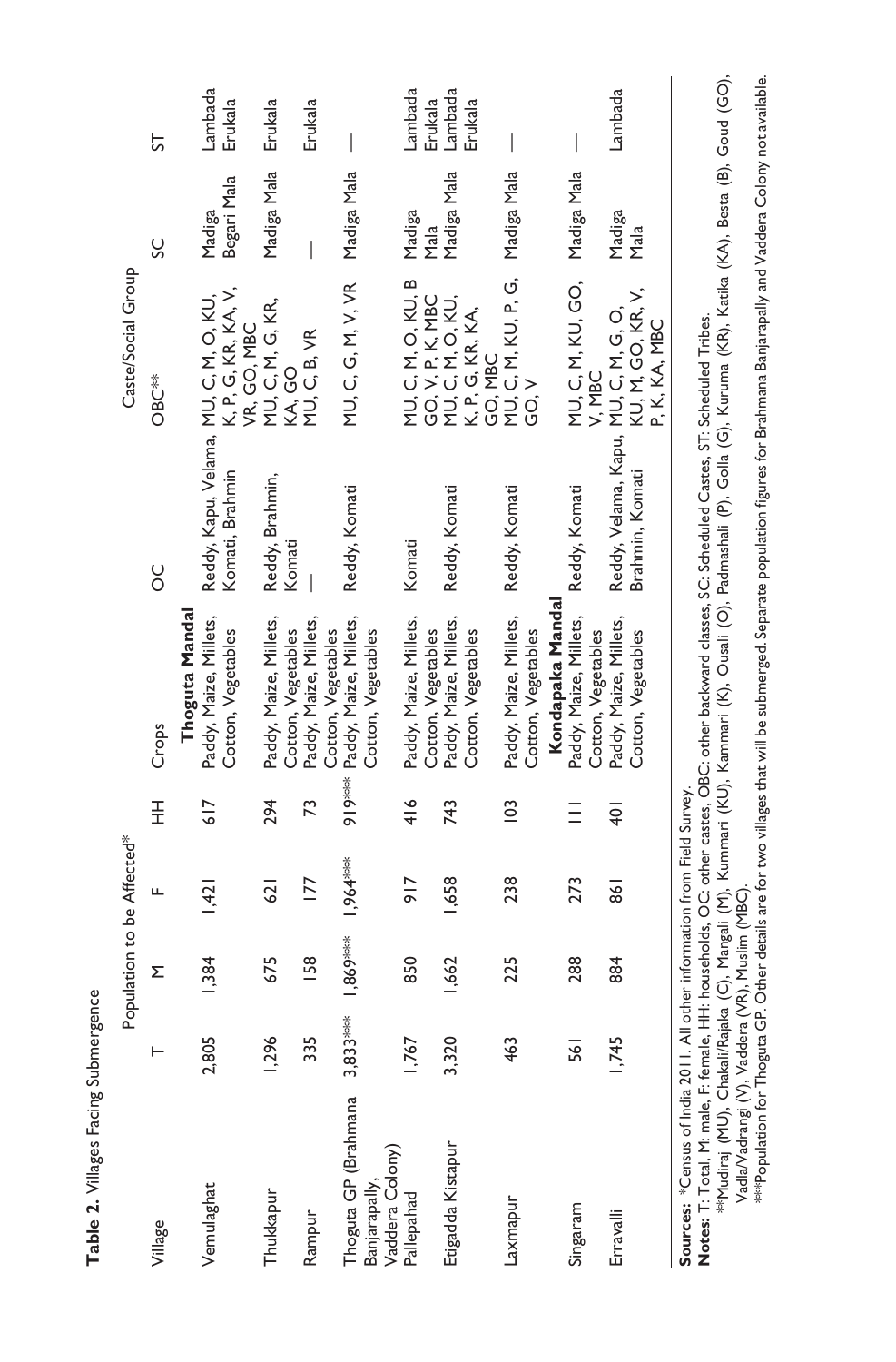| Table 2. Villages Facing Submergence |                                                                       |            |                            |                 |                        |                                       |                                                          |                          |         |
|--------------------------------------|-----------------------------------------------------------------------|------------|----------------------------|-----------------|------------------------|---------------------------------------|----------------------------------------------------------|--------------------------|---------|
|                                      |                                                                       |            | Population to be Affected* |                 |                        |                                       | Caste/Social Group                                       |                          |         |
| Village                              | ۳                                                                     | Σ          | щ                          | Ŧ               | Crops                  | ŏ                                     | ※<br>OBC                                                 | ပ္တ                      | 능       |
|                                      |                                                                       |            |                            |                 | Thoguta Mandal         |                                       |                                                          |                          |         |
| Vemulaghat                           | 2,805                                                                 | 1,384      | 42                         | 517             | Paddy, Maize, Millets, | Reddy, Kapu, Velama, MU, C, M, O, KU, |                                                          | Madiga                   | Lambada |
|                                      |                                                                       |            |                            |                 | Cotton, Vegetables     | Komati, Brahmin                       | K, P, G, KR, KA, V,<br>VR, GO, MBC                       | Begari Mala              | Erukala |
| Thukkapur                            | 1,296                                                                 | 675        | 621                        | 294             | Paddy, Maize, Millets, | Reddy, Brahmin,                       | MU, C, M, G, KR,                                         | Madiga Mala              | Erukala |
|                                      |                                                                       |            |                            |                 | Cotton, Vegetables     | Komati                                | KA, GO                                                   |                          |         |
| Rampur                               | 335                                                                   | <b>158</b> | $\overline{7}$             | 73              | Paddy, Maize, Millets, |                                       | MU, C, B, VR                                             | $\overline{\phantom{a}}$ | Erukala |
|                                      |                                                                       |            |                            |                 | Cotton, Vegetables     |                                       |                                                          |                          |         |
| Thoguta GP (Brahmana                 | $3,833***$                                                            | 1,869***   | $1,964***$                 | 9 9***          | Paddy, Maize, Millets, | Reddy, Komati                         | MU, C, G, M, V, VR                                       | Madiga Mala              |         |
| Vaddera Colony)<br>Banjarapally,     |                                                                       |            |                            |                 | Cotton, Vegetables     |                                       |                                                          |                          |         |
| Pallepahad                           | 1,767                                                                 | 850        | 516                        | $\frac{416}{5}$ | Paddy, Maize, Millets, | Komati                                | MU, C, M, O, KU, B                                       | Madiga                   | Lambada |
|                                      |                                                                       |            |                            |                 | Cotton, Vegetables     |                                       |                                                          | Mala                     | Erukala |
| Etigadda Kistapur                    | 3,320                                                                 | 1,662      | 1,658                      | 743             | Paddy, Maize, Millets, | Reddy, Komati                         | GO, V, P, K, MBC<br>MU, C, M, O, KU,<br>K, P, G, KR, KA, | Madiga Mala              | Lambada |
|                                      |                                                                       |            |                            |                 | Cotton, Vegetables     |                                       | GO, MBC                                                  |                          | Erukala |
| Laxmapur                             | 463                                                                   | 225        | 238                        | 103             | Paddy, Maize, Millets, | Reddy, Komati                         | MU, C, M, KU, P, G,<br>GO, V                             | Madiga Mala              |         |
|                                      |                                                                       |            |                            |                 | Cotton, Vegetables     |                                       |                                                          |                          |         |
|                                      |                                                                       |            |                            |                 | Kondapaka Mandal       |                                       |                                                          |                          |         |
| Singaram                             | 561                                                                   | 288        | 273                        | Ξ               | Paddy, Maize, Millets, | Reddy, Komati                         | MU, C, M, KU, GO,                                        | Madiga Mala              |         |
|                                      |                                                                       |            |                            |                 | Cotton, Vegetables     |                                       | V, MBC                                                   |                          |         |
| Erravalli                            | 1,745                                                                 | 884        | $\overline{8}$             | $\overline{5}$  | Paddy, Maize, Millets, | Reddy, Velama, Kapu, MU, C, M, G, O,  |                                                          | Madiga                   | Lambada |
|                                      |                                                                       |            |                            |                 | Cotton, Vegetables     | Brahmin, Komati                       | KU, M, GO, KR, V,                                        | Mala                     |         |
|                                      |                                                                       |            |                            |                 |                        |                                       | P, K, KA, MBC                                            |                          |         |
| )<br>پ                               | $\sim$ 1. The PD contribution of $\sim$ 1. The contribution of $\sim$ |            |                            |                 |                        |                                       |                                                          |                          |         |

Sources: \*Census of India 2011. All other information from Field Survey. **Sources:** \*Census of India 2011. All other information from Field Survey.

Notes: T: Total, M: male, F: female, HH: households, OC: other castes, OBC: other backward classes, SC: Scheduled Castes, ST: Scheduled Tribes. **Notes:** T: Total, M: male, F: female, HH: households, OC: other castes, OBC: other backward classes, SC: Scheduled Castes, ST: Scheduled Tribes.

\*\*Mudiraj (MU), Chakali/Rajaka (C), Mangali (M), Kummari (KU), Kammari (K), Ousali (O), Padmashali (P), Golla (G), Kuruma (KR), Katika (KA), Besta (B), Goud (GO),<br>Vadla/Vadrangi (V), Vaddera (VR), Muslim (MBC).<br>"Vadla/Vadr \*\*Mudiraj (MU), Chakali/Rajaka (C), Mangali (M), Kummari (KU), Kammari (K), Ousali (O), Padmashali (P), Golla (G), Kuruma (KR), Katika (KA), Besta (B), Goud (GO), Vadla/Vadrangi (V), Vaddera (VR), Muslim (MBC).

\*\*\*Population for Thoguta GP. Other details are for two villages that will be submerged. Separate population figures for Brahmana Banjarapally and Vaddera Colony not available. \*\*\*Population for Thoguta GP. Other details are for two villages that will be submerged. Separate population figures for Brahmana Banjarapally and Vaddera Colony not available.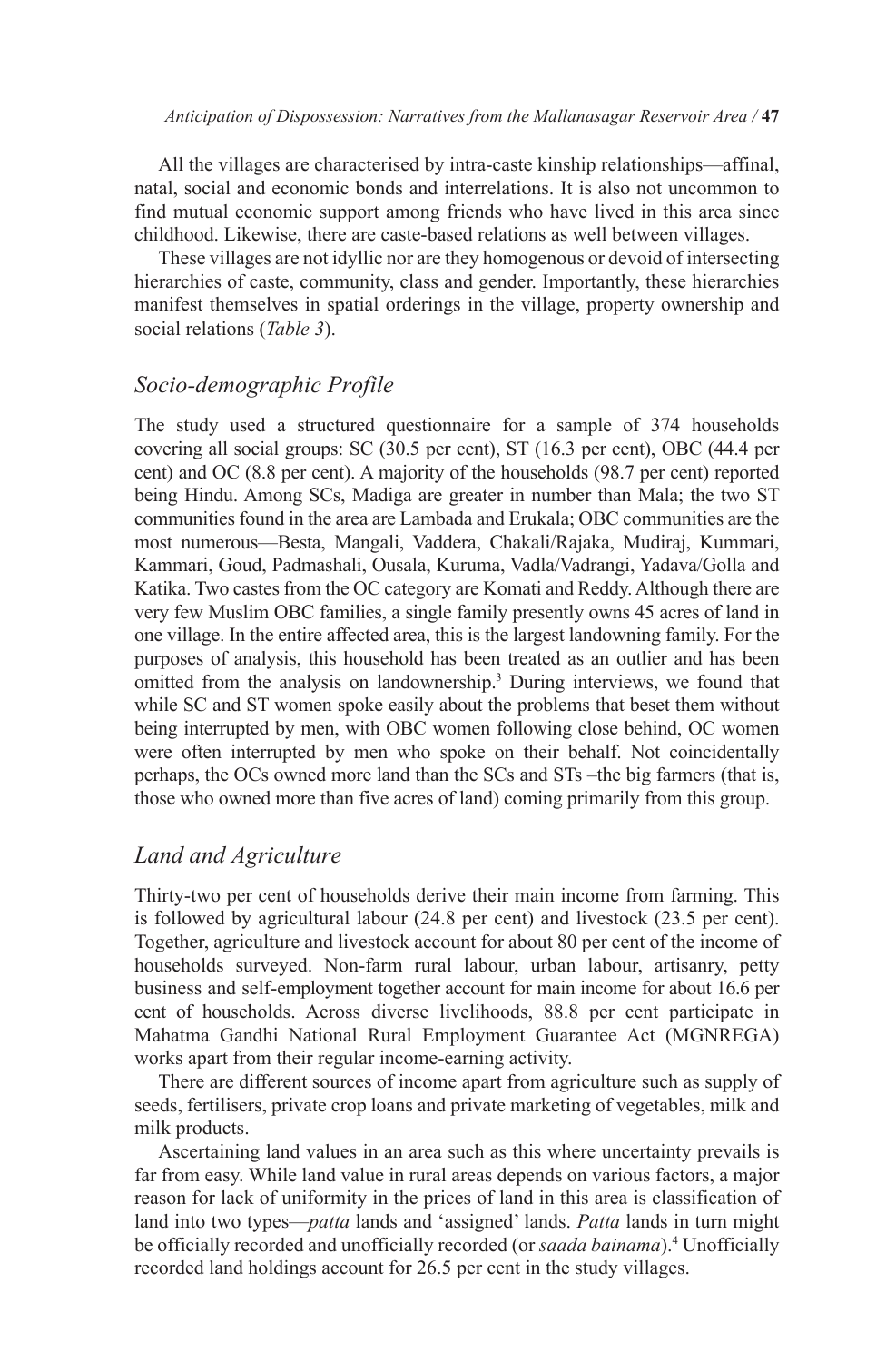All the villages are characterised by intra-caste kinship relationships—affinal, natal, social and economic bonds and interrelations. It is also not uncommon to find mutual economic support among friends who have lived in this area since childhood. Likewise, there are caste-based relations as well between villages.

These villages are not idyllic nor are they homogenous or devoid of intersecting hierarchies of caste, community, class and gender. Importantly, these hierarchies manifest themselves in spatial orderings in the village, property ownership and social relations (*Table 3*).

#### *Socio-demographic Profile*

The study used a structured questionnaire for a sample of 374 households covering all social groups: SC (30.5 per cent), ST (16.3 per cent), OBC (44.4 per cent) and OC (8.8 per cent). A majority of the households (98.7 per cent) reported being Hindu. Among SCs, Madiga are greater in number than Mala; the two ST communities found in the area are Lambada and Erukala; OBC communities are the most numerous—Besta, Mangali, Vaddera, Chakali/Rajaka, Mudiraj, Kummari, Kammari, Goud, Padmashali, Ousala, Kuruma, Vadla/Vadrangi, Yadava/Golla and Katika. Two castes from the OC category are Komati and Reddy. Although there are very few Muslim OBC families, a single family presently owns 45 acres of land in one village. In the entire affected area, this is the largest landowning family. For the purposes of analysis, this household has been treated as an outlier and has been omitted from the analysis on landownership.3 During interviews, we found that while SC and ST women spoke easily about the problems that beset them without being interrupted by men, with OBC women following close behind, OC women were often interrupted by men who spoke on their behalf. Not coincidentally perhaps, the OCs owned more land than the SCs and STs –the big farmers (that is, those who owned more than five acres of land) coming primarily from this group.

## *Land and Agriculture*

Thirty-two per cent of households derive their main income from farming. This is followed by agricultural labour (24.8 per cent) and livestock (23.5 per cent). Together, agriculture and livestock account for about 80 per cent of the income of households surveyed. Non-farm rural labour, urban labour, artisanry, petty business and self-employment together account for main income for about 16.6 per cent of households. Across diverse livelihoods, 88.8 per cent participate in Mahatma Gandhi National Rural Employment Guarantee Act (MGNREGA) works apart from their regular income-earning activity.

There are different sources of income apart from agriculture such as supply of seeds, fertilisers, private crop loans and private marketing of vegetables, milk and milk products.

Ascertaining land values in an area such as this where uncertainty prevails is far from easy. While land value in rural areas depends on various factors, a major reason for lack of uniformity in the prices of land in this area is classification of land into two types—*patta* lands and 'assigned' lands. *Patta* lands in turn might be officially recorded and unofficially recorded (or *saada bainama*).<sup>4</sup> Unofficially recorded land holdings account for 26.5 per cent in the study villages.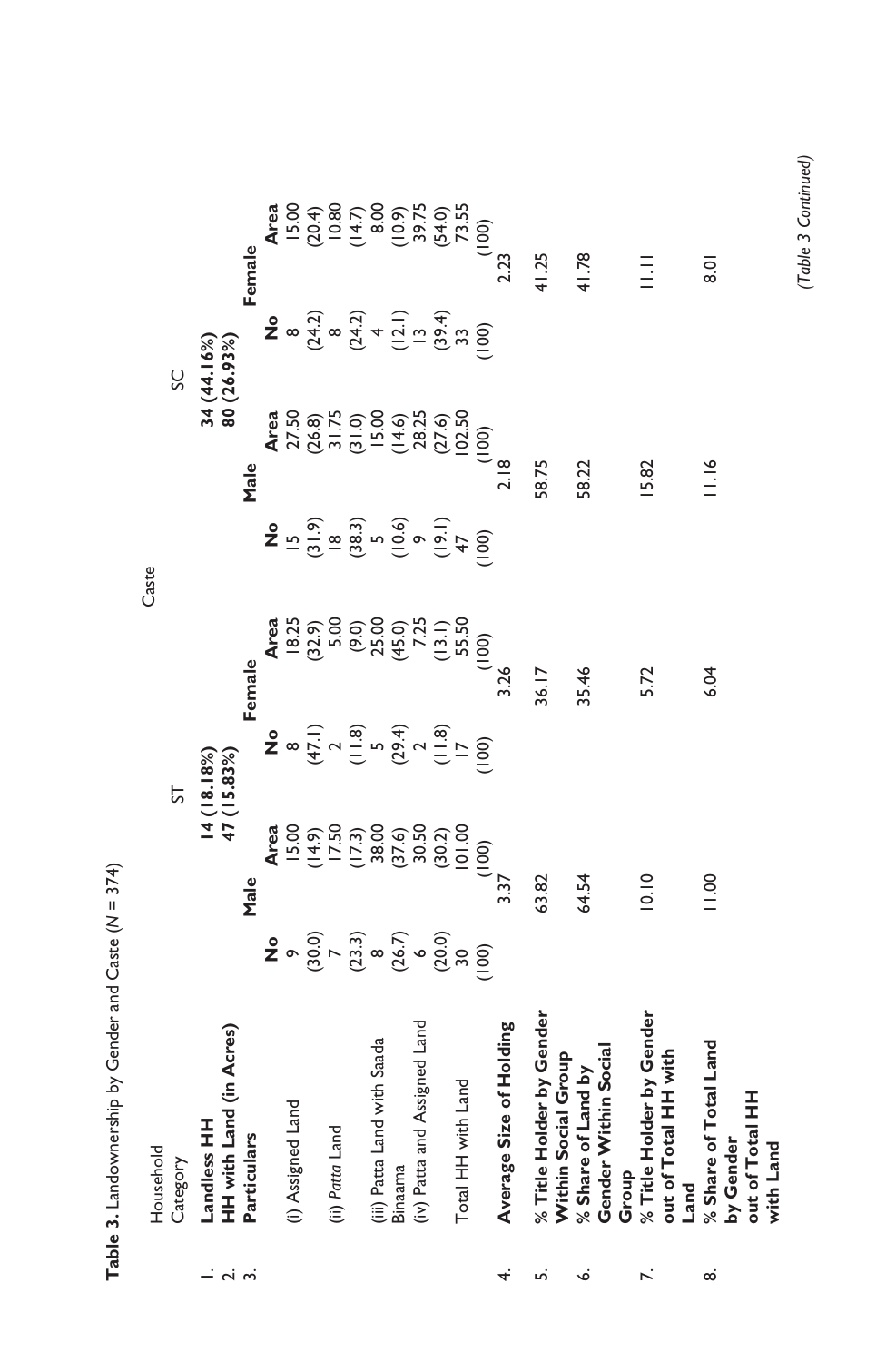|                         | Household                                       |                                                                                                                                                                                                                                                        |                                                                                                                                                                                                                                                                                                                                                  |                            |        | Caste                                                                                                                                                                                                                                                                                                                       |                                                                                     |                                                                                                                                                                                                                                                                    |                                                                                    |
|-------------------------|-------------------------------------------------|--------------------------------------------------------------------------------------------------------------------------------------------------------------------------------------------------------------------------------------------------------|--------------------------------------------------------------------------------------------------------------------------------------------------------------------------------------------------------------------------------------------------------------------------------------------------------------------------------------------------|----------------------------|--------|-----------------------------------------------------------------------------------------------------------------------------------------------------------------------------------------------------------------------------------------------------------------------------------------------------------------------------|-------------------------------------------------------------------------------------|--------------------------------------------------------------------------------------------------------------------------------------------------------------------------------------------------------------------------------------------------------------------|------------------------------------------------------------------------------------|
|                         | Category                                        |                                                                                                                                                                                                                                                        |                                                                                                                                                                                                                                                                                                                                                  | 5                          |        |                                                                                                                                                                                                                                                                                                                             |                                                                                     | SC                                                                                                                                                                                                                                                                 |                                                                                    |
|                         | Landless HH                                     |                                                                                                                                                                                                                                                        |                                                                                                                                                                                                                                                                                                                                                  |                            |        |                                                                                                                                                                                                                                                                                                                             |                                                                                     | 34(44.16%)                                                                                                                                                                                                                                                         |                                                                                    |
| $\overline{\mathsf{N}}$ | cres)<br>HH with Land (in A                     |                                                                                                                                                                                                                                                        |                                                                                                                                                                                                                                                                                                                                                  | 14 (18.18%)<br>47 (15.83%) |        |                                                                                                                                                                                                                                                                                                                             |                                                                                     | (26.93%)                                                                                                                                                                                                                                                           |                                                                                    |
| $\sim$                  | Particulars                                     |                                                                                                                                                                                                                                                        | Male                                                                                                                                                                                                                                                                                                                                             |                            | Female |                                                                                                                                                                                                                                                                                                                             | Male                                                                                |                                                                                                                                                                                                                                                                    | Female                                                                             |
|                         |                                                 |                                                                                                                                                                                                                                                        |                                                                                                                                                                                                                                                                                                                                                  |                            |        |                                                                                                                                                                                                                                                                                                                             |                                                                                     |                                                                                                                                                                                                                                                                    |                                                                                    |
|                         | (i) Assigned Land                               |                                                                                                                                                                                                                                                        |                                                                                                                                                                                                                                                                                                                                                  |                            |        |                                                                                                                                                                                                                                                                                                                             |                                                                                     |                                                                                                                                                                                                                                                                    |                                                                                    |
|                         |                                                 |                                                                                                                                                                                                                                                        |                                                                                                                                                                                                                                                                                                                                                  |                            |        |                                                                                                                                                                                                                                                                                                                             |                                                                                     |                                                                                                                                                                                                                                                                    |                                                                                    |
|                         | (ii) Patta Land                                 |                                                                                                                                                                                                                                                        |                                                                                                                                                                                                                                                                                                                                                  |                            |        |                                                                                                                                                                                                                                                                                                                             |                                                                                     |                                                                                                                                                                                                                                                                    |                                                                                    |
|                         |                                                 |                                                                                                                                                                                                                                                        |                                                                                                                                                                                                                                                                                                                                                  |                            |        |                                                                                                                                                                                                                                                                                                                             |                                                                                     |                                                                                                                                                                                                                                                                    |                                                                                    |
|                         | (iii) Patta Land with Saada                     |                                                                                                                                                                                                                                                        |                                                                                                                                                                                                                                                                                                                                                  |                            |        |                                                                                                                                                                                                                                                                                                                             |                                                                                     |                                                                                                                                                                                                                                                                    |                                                                                    |
|                         | <b>Binaama</b>                                  |                                                                                                                                                                                                                                                        |                                                                                                                                                                                                                                                                                                                                                  |                            |        |                                                                                                                                                                                                                                                                                                                             |                                                                                     |                                                                                                                                                                                                                                                                    |                                                                                    |
|                         | $L$ and<br>(iv) Patta and Assigned              |                                                                                                                                                                                                                                                        |                                                                                                                                                                                                                                                                                                                                                  |                            |        |                                                                                                                                                                                                                                                                                                                             |                                                                                     |                                                                                                                                                                                                                                                                    |                                                                                    |
|                         |                                                 |                                                                                                                                                                                                                                                        |                                                                                                                                                                                                                                                                                                                                                  |                            |        |                                                                                                                                                                                                                                                                                                                             |                                                                                     |                                                                                                                                                                                                                                                                    |                                                                                    |
|                         | Total HH with Land                              |                                                                                                                                                                                                                                                        |                                                                                                                                                                                                                                                                                                                                                  |                            |        |                                                                                                                                                                                                                                                                                                                             |                                                                                     |                                                                                                                                                                                                                                                                    |                                                                                    |
|                         |                                                 | $2 \cdot \frac{1}{3}$<br>$2 \cdot \frac{1}{3}$<br>$2 \cdot \frac{1}{3}$<br>$2 \cdot \frac{1}{3}$<br>$2 \cdot \frac{1}{3}$<br>$2 \cdot \frac{1}{3}$<br>$2 \cdot \frac{1}{3}$<br>$2 \cdot \frac{1}{3}$<br>$2 \cdot \frac{1}{3}$<br>$2 \cdot \frac{1}{3}$ | $\begin{array}{l} 4.68 \\ -1.50 \\ -1.50 \\ -1.50 \\ -1.50 \\ -1.50 \\ -1.50 \\ -1.50 \\ -1.50 \\ -1.50 \\ -1.50 \\ -1.50 \\ -1.50 \\ -1.50 \\ -1.50 \\ -1.50 \\ -1.50 \\ -1.50 \\ -1.50 \\ -1.50 \\ -1.50 \\ -1.50 \\ -1.50 \\ -1.50 \\ -1.50 \\ -1.50 \\ -1.50 \\ -1.50 \\ -1.50 \\ -1.50 \\ -1.50 \\ -1.50 \\ -1.50 \\ -1.50 \\ -1.50 \\ -1.$ |                            |        | <b>2</b> $\frac{1}{2}$ $\frac{1}{2}$ $\frac{1}{2}$ $\frac{1}{2}$ $\frac{1}{2}$ $\frac{1}{2}$ $\frac{1}{2}$ $\frac{1}{2}$ $\frac{1}{2}$ $\frac{1}{2}$ $\frac{1}{2}$ $\frac{1}{2}$ $\frac{1}{2}$ $\frac{1}{2}$ $\frac{1}{2}$ $\frac{1}{2}$ $\frac{1}{2}$ $\frac{1}{2}$ $\frac{1}{2}$ $\frac{1}{2}$ $\frac{1}{2}$ $\frac{1}{2$ |                                                                                     | <b>2</b> $\omega$ $\begin{pmatrix} 2 & 2 \\ 0 & 4 & 2 \\ 0 & 4 & 1 \end{pmatrix}$<br>$\begin{pmatrix} 2 & 4 \\ 0 & 4 \\ 0 & 1 \end{pmatrix}$<br>$\begin{pmatrix} 2 & 1 \\ 0 & 1 \\ 0 & 0 \end{pmatrix}$<br>$\begin{pmatrix} 4 & 1 \\ 0 & 1 \\ 0 & 0 \end{pmatrix}$ |                                                                                    |
| 4.                      | Iding<br>Average Size of Hol                    |                                                                                                                                                                                                                                                        |                                                                                                                                                                                                                                                                                                                                                  |                            |        |                                                                                                                                                                                                                                                                                                                             | Area<br>27.50<br>27.50<br>28.25<br>30.00<br>50.50<br>50.50<br>50.00<br>2.18<br>2.18 |                                                                                                                                                                                                                                                                    | Area<br>15.00<br>15.00<br>10.80<br>(10.9)<br>(100)<br>2.23<br>2.23<br>2.23<br>2.23 |
| L۸                      | % Title Holder by Gender<br>Within Social Group |                                                                                                                                                                                                                                                        | 63.82                                                                                                                                                                                                                                                                                                                                            |                            | 86.17  |                                                                                                                                                                                                                                                                                                                             | 58.75                                                                               |                                                                                                                                                                                                                                                                    | 41.25                                                                              |
| ة                       | % Share of Land by                              |                                                                                                                                                                                                                                                        | 64.54                                                                                                                                                                                                                                                                                                                                            |                            | 35.46  |                                                                                                                                                                                                                                                                                                                             | 58.22                                                                               |                                                                                                                                                                                                                                                                    | 11.78                                                                              |
|                         | Gender Within Social                            |                                                                                                                                                                                                                                                        |                                                                                                                                                                                                                                                                                                                                                  |                            |        |                                                                                                                                                                                                                                                                                                                             |                                                                                     |                                                                                                                                                                                                                                                                    |                                                                                    |
|                         | Group                                           |                                                                                                                                                                                                                                                        |                                                                                                                                                                                                                                                                                                                                                  |                            |        |                                                                                                                                                                                                                                                                                                                             |                                                                                     |                                                                                                                                                                                                                                                                    |                                                                                    |
| r.                      | out of Total HH with<br>Land                    |                                                                                                                                                                                                                                                        | $\frac{0}{0}$                                                                                                                                                                                                                                                                                                                                    |                            | 5.72   |                                                                                                                                                                                                                                                                                                                             | 5.82                                                                                |                                                                                                                                                                                                                                                                    | Ξ                                                                                  |
|                         |                                                 |                                                                                                                                                                                                                                                        |                                                                                                                                                                                                                                                                                                                                                  |                            |        |                                                                                                                                                                                                                                                                                                                             |                                                                                     |                                                                                                                                                                                                                                                                    |                                                                                    |
| ∞                       | % Share of Total Land                           |                                                                                                                                                                                                                                                        | $\frac{8}{1}$                                                                                                                                                                                                                                                                                                                                    |                            | 6.04   |                                                                                                                                                                                                                                                                                                                             | $\frac{1}{1}$                                                                       |                                                                                                                                                                                                                                                                    | $\overline{8.0}$                                                                   |
|                         | by Gender                                       |                                                                                                                                                                                                                                                        |                                                                                                                                                                                                                                                                                                                                                  |                            |        |                                                                                                                                                                                                                                                                                                                             |                                                                                     |                                                                                                                                                                                                                                                                    |                                                                                    |
|                         | out of Total HH                                 |                                                                                                                                                                                                                                                        |                                                                                                                                                                                                                                                                                                                                                  |                            |        |                                                                                                                                                                                                                                                                                                                             |                                                                                     |                                                                                                                                                                                                                                                                    |                                                                                    |
|                         | with Land                                       |                                                                                                                                                                                                                                                        |                                                                                                                                                                                                                                                                                                                                                  |                            |        |                                                                                                                                                                                                                                                                                                                             |                                                                                     |                                                                                                                                                                                                                                                                    |                                                                                    |

Table 3. Landownership by Gender and Caste ( $N = 374$ ) **Table 3.** Landownership by Gender and Caste (*N* = 374)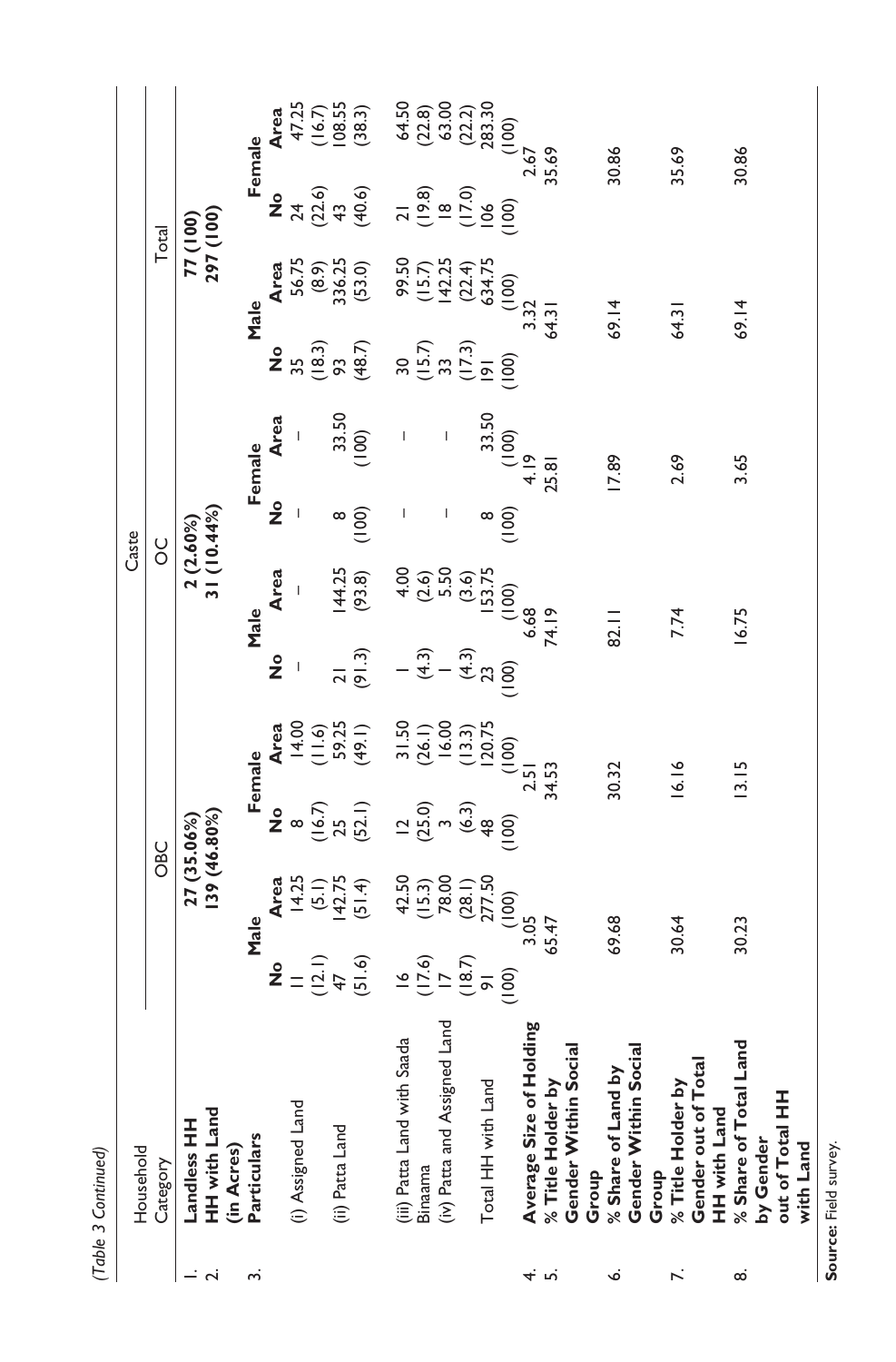| 2         |  |
|-----------|--|
| $\mathbf$ |  |
| υ<br>ē    |  |

|                 | Household                                  |                           |                                                                |                                                   |                                                                |                                                                                     |                                                                   | Caste                                                     |                        |                                                                                                                                                                                                                                                                                                                             |                                                                           |                                                    |                                                                    |
|-----------------|--------------------------------------------|---------------------------|----------------------------------------------------------------|---------------------------------------------------|----------------------------------------------------------------|-------------------------------------------------------------------------------------|-------------------------------------------------------------------|-----------------------------------------------------------|------------------------|-----------------------------------------------------------------------------------------------------------------------------------------------------------------------------------------------------------------------------------------------------------------------------------------------------------------------------|---------------------------------------------------------------------------|----------------------------------------------------|--------------------------------------------------------------------|
|                 | Category                                   |                           |                                                                | OBC                                               |                                                                |                                                                                     |                                                                   | ŏ                                                         |                        |                                                                                                                                                                                                                                                                                                                             |                                                                           | Total                                              |                                                                    |
|                 | Landless<br>HH                             |                           | 27 (35.06%)                                                    |                                                   |                                                                |                                                                                     |                                                                   | $\begin{array}{c} 2 (2.60\%) \\ 31 (10.44\%) \end{array}$ |                        |                                                                                                                                                                                                                                                                                                                             |                                                                           | $\frac{77}{297}(\frac{100}{100})$                  |                                                                    |
|                 | <b>HH with Land</b><br>(in Acres)          |                           |                                                                | 139 (46.80%)                                      |                                                                |                                                                                     |                                                                   |                                                           |                        |                                                                                                                                                                                                                                                                                                                             |                                                                           |                                                    |                                                                    |
|                 | Particulars                                |                           | Male                                                           |                                                   | Female                                                         |                                                                                     | Male                                                              |                                                           | Female                 |                                                                                                                                                                                                                                                                                                                             | Male                                                                      |                                                    | Female                                                             |
|                 |                                            | $\mathsf{z}^{\mathsf{o}}$ |                                                                | $\frac{\circ}{\mathsf{Z}}$                        |                                                                | $\frac{1}{2}$                                                                       | Area<br>-                                                         | $\frac{1}{2}$                                             | Area                   |                                                                                                                                                                                                                                                                                                                             |                                                                           | 。<br>2                                             |                                                                    |
|                 | (i) Assigned Land                          |                           |                                                                |                                                   |                                                                |                                                                                     |                                                                   |                                                           |                        |                                                                                                                                                                                                                                                                                                                             |                                                                           |                                                    |                                                                    |
|                 |                                            | $= 12.1$                  |                                                                |                                                   |                                                                |                                                                                     |                                                                   |                                                           |                        |                                                                                                                                                                                                                                                                                                                             |                                                                           |                                                    |                                                                    |
|                 | (ii) Patta Land                            |                           |                                                                |                                                   |                                                                |                                                                                     |                                                                   | $\infty$                                                  |                        |                                                                                                                                                                                                                                                                                                                             |                                                                           |                                                    |                                                                    |
|                 |                                            | (51.6)                    | <b>Area</b><br>14.25<br>(5.1)<br>(51.4)                        | $(16.7)$<br>$(16.7)$<br>$(52.1)$                  | <b>Area</b><br>  4.00<br>  1.6)<br>  59.25<br>  49.1)          | $\frac{21}{(91.3)}$                                                                 | 144.25<br>(93.8)                                                  | (100)                                                     | $33.50$<br>(100)       | <b>2</b> $\frac{1}{2}$ $\frac{1}{2}$ $\frac{1}{2}$ $\frac{1}{2}$ $\frac{1}{2}$ $\frac{1}{2}$ $\frac{1}{2}$ $\frac{1}{2}$ $\frac{1}{2}$ $\frac{1}{2}$ $\frac{1}{2}$ $\frac{1}{2}$ $\frac{1}{2}$ $\frac{1}{2}$ $\frac{1}{2}$ $\frac{1}{2}$ $\frac{1}{2}$ $\frac{1}{2}$ $\frac{1}{2}$ $\frac{1}{2}$ $\frac{1}{2}$ $\frac{1}{2$ | <b>Area</b><br>56.75<br>56.9)<br>336.25<br>33.0)                          | $72.6$<br>$72.4$<br>$40.6$                         | <b>Area</b><br>47.25<br>(16.7)<br>(38.3)                           |
|                 | (iii) Patta Land with Saada                | $\overline{6}$            | 42.50<br>(15.3)<br>(15.3)<br>78.00<br>(3.05<br>(55.47<br>65.47 |                                                   | 31.50<br>(26.1)<br>(26.1)<br>(3.0)<br>(3.3)<br>(34.53<br>34.53 | $-\frac{3}{4}$<br>$-\frac{3}{4}$<br>$\frac{3}{4}$<br>$\frac{3}{4}$<br>$\frac{3}{4}$ | 4.00<br>(2.6)<br>(3.50<br>5.50<br>5.50<br>13.75<br>(1.19<br>74.19 |                                                           |                        |                                                                                                                                                                                                                                                                                                                             | 99.50<br>(15.7)<br>(15.7)<br>(16.7)<br>(16.4)<br>(33.2)<br>(4.3)<br>(4.3) |                                                    | $64.50$<br>$(21.8)$<br>$(3.30)$<br>$(3.20)$<br>$(3.30)$<br>$(100)$ |
|                 | <b>Binaama</b>                             | (17.6)                    |                                                                | $12$<br>$(25.0)$<br>$(6.3)$<br>$(6.3)$<br>$(100)$ |                                                                |                                                                                     |                                                                   |                                                           |                        |                                                                                                                                                                                                                                                                                                                             |                                                                           | $71$<br>$(19.8)$<br>$(17.0)$<br>$(106)$<br>$(100)$ |                                                                    |
|                 | (iv) Patta and Assigned Land               |                           |                                                                |                                                   |                                                                |                                                                                     |                                                                   |                                                           | $\vert$                |                                                                                                                                                                                                                                                                                                                             |                                                                           |                                                    |                                                                    |
|                 |                                            | (18.7)                    |                                                                |                                                   |                                                                |                                                                                     |                                                                   |                                                           |                        |                                                                                                                                                                                                                                                                                                                             |                                                                           |                                                    |                                                                    |
|                 | Total HH with Land                         | $\overline{\circ}$        |                                                                |                                                   |                                                                |                                                                                     |                                                                   | $\infty$                                                  |                        |                                                                                                                                                                                                                                                                                                                             |                                                                           |                                                    |                                                                    |
|                 |                                            | (100)                     |                                                                |                                                   |                                                                |                                                                                     |                                                                   | (100)                                                     | 33.50<br>(100)<br>4.19 |                                                                                                                                                                                                                                                                                                                             |                                                                           |                                                    |                                                                    |
|                 | Average Size of Holding                    |                           |                                                                |                                                   |                                                                |                                                                                     |                                                                   |                                                           |                        |                                                                                                                                                                                                                                                                                                                             |                                                                           |                                                    | 2.67<br>35.69                                                      |
| LO <sub>1</sub> | % Title Holder by                          |                           |                                                                |                                                   |                                                                |                                                                                     |                                                                   |                                                           | 25.81                  |                                                                                                                                                                                                                                                                                                                             |                                                                           |                                                    |                                                                    |
|                 | Gender Within Social                       |                           |                                                                |                                                   |                                                                |                                                                                     |                                                                   |                                                           |                        |                                                                                                                                                                                                                                                                                                                             |                                                                           |                                                    |                                                                    |
|                 | Group                                      |                           |                                                                |                                                   |                                                                |                                                                                     |                                                                   |                                                           |                        |                                                                                                                                                                                                                                                                                                                             |                                                                           |                                                    |                                                                    |
| ی               | Gender Within Social<br>% Share of Land by |                           | 69.68                                                          |                                                   | 30.32                                                          |                                                                                     | 82.11                                                             |                                                           | 17.89                  |                                                                                                                                                                                                                                                                                                                             | 69.14                                                                     |                                                    | 30.86                                                              |
|                 | Group                                      |                           |                                                                |                                                   |                                                                |                                                                                     |                                                                   |                                                           |                        |                                                                                                                                                                                                                                                                                                                             |                                                                           |                                                    |                                                                    |
|                 | % Title Holder by                          |                           | 30.64                                                          |                                                   | 6.16                                                           |                                                                                     | 7.74                                                              |                                                           | 2.69                   |                                                                                                                                                                                                                                                                                                                             | 64.31                                                                     |                                                    | 35.69                                                              |
|                 | Gender out of Total                        |                           |                                                                |                                                   |                                                                |                                                                                     |                                                                   |                                                           |                        |                                                                                                                                                                                                                                                                                                                             |                                                                           |                                                    |                                                                    |
|                 | <b>HH with Land</b>                        |                           |                                                                |                                                   |                                                                |                                                                                     |                                                                   |                                                           |                        |                                                                                                                                                                                                                                                                                                                             |                                                                           |                                                    |                                                                    |
| ∞               | % Share of Total Land                      |                           | 30.23                                                          |                                                   | 13.15                                                          |                                                                                     | 16.75                                                             |                                                           | 3.65                   |                                                                                                                                                                                                                                                                                                                             | 69.14                                                                     |                                                    | 30.86                                                              |
|                 | by Gender                                  |                           |                                                                |                                                   |                                                                |                                                                                     |                                                                   |                                                           |                        |                                                                                                                                                                                                                                                                                                                             |                                                                           |                                                    |                                                                    |
|                 | out of Total HH                            |                           |                                                                |                                                   |                                                                |                                                                                     |                                                                   |                                                           |                        |                                                                                                                                                                                                                                                                                                                             |                                                                           |                                                    |                                                                    |
|                 | with Land                                  |                           |                                                                |                                                   |                                                                |                                                                                     |                                                                   |                                                           |                        |                                                                                                                                                                                                                                                                                                                             |                                                                           |                                                    |                                                                    |

Source: Field survey. **Source:** Field survey.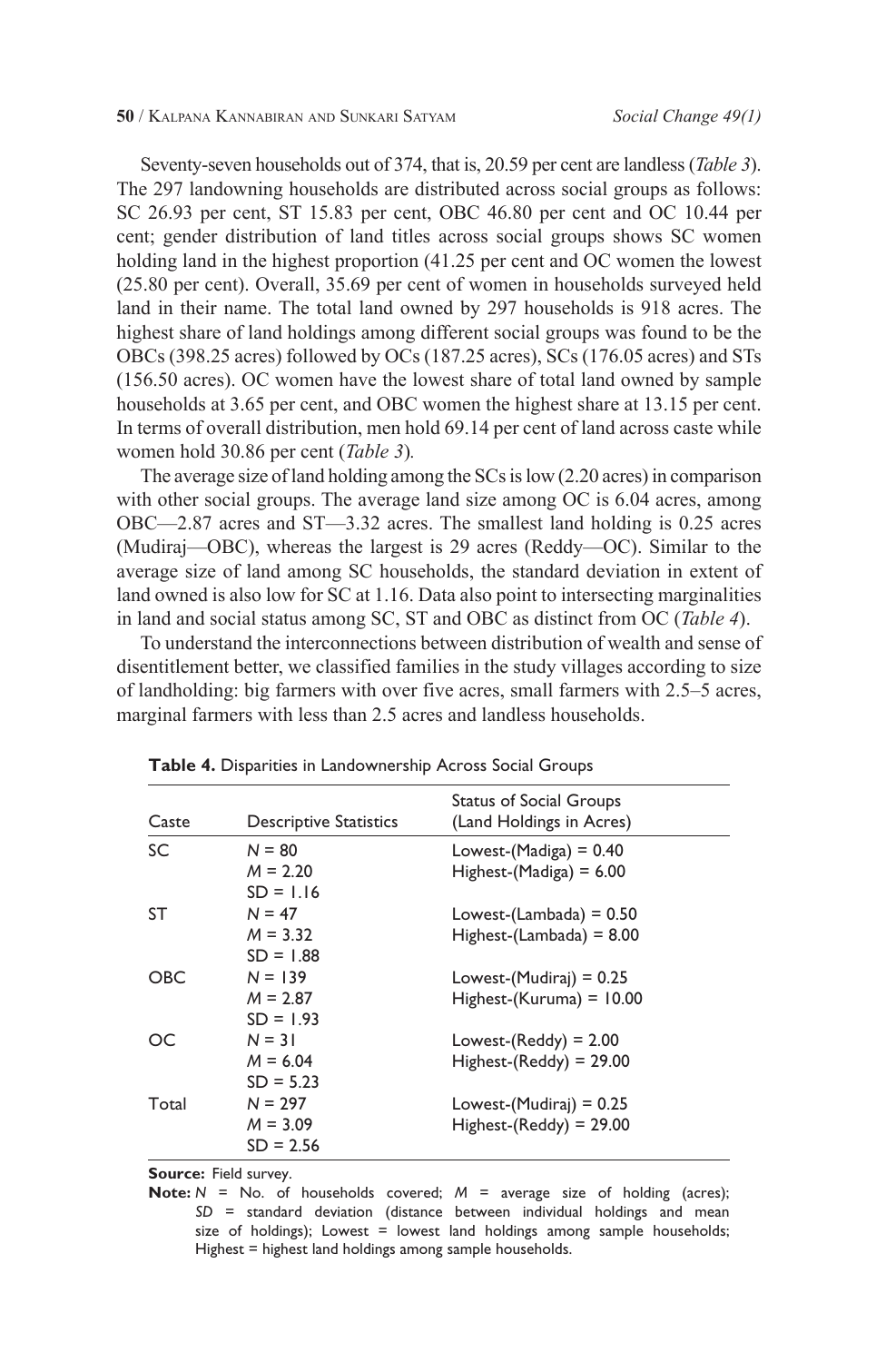Seventy-seven households out of 374, that is, 20.59 per cent are landless (*Table 3*). The 297 landowning households are distributed across social groups as follows: SC 26.93 per cent, ST 15.83 per cent, OBC 46.80 per cent and OC 10.44 per cent; gender distribution of land titles across social groups shows SC women holding land in the highest proportion (41.25 per cent and OC women the lowest (25.80 per cent). Overall, 35.69 per cent of women in households surveyed held land in their name. The total land owned by 297 households is 918 acres. The highest share of land holdings among different social groups was found to be the OBCs (398.25 acres) followed by OCs (187.25 acres), SCs (176.05 acres) and STs (156.50 acres). OC women have the lowest share of total land owned by sample households at 3.65 per cent, and OBC women the highest share at 13.15 per cent. In terms of overall distribution, men hold 69.14 per cent of land across caste while women hold 30.86 per cent (*Table 3*)*.*

The average size of land holding among the SCs is low (2.20 acres) in comparison with other social groups. The average land size among OC is 6.04 acres, among OBC—2.87 acres and ST—3.32 acres. The smallest land holding is 0.25 acres (Mudiraj—OBC), whereas the largest is 29 acres (Reddy—OC). Similar to the average size of land among SC households, the standard deviation in extent of land owned is also low for SC at 1.16. Data also point to intersecting marginalities in land and social status among SC, ST and OBC as distinct from OC (*Table 4*).

To understand the interconnections between distribution of wealth and sense of disentitlement better, we classified families in the study villages according to size of landholding: big farmers with over five acres, small farmers with 2.5–5 acres, marginal farmers with less than 2.5 acres and landless households.

| Caste | <b>Descriptive Statistics</b> | <b>Status of Social Groups</b><br>(Land Holdings in Acres) |  |  |
|-------|-------------------------------|------------------------------------------------------------|--|--|
| SC    | $N = 80$                      | Lowest-(Madiga) = $0.40$                                   |  |  |
|       | $M = 2.20$                    | Highest-(Madiga) = $6.00$                                  |  |  |
|       | $SD = 1.16$                   |                                                            |  |  |
| ST    | $N = 47$                      | Lowest-(Lambada) = $0.50$                                  |  |  |
|       | $M = 3.32$                    | Highest-(Lambada) = $8.00$                                 |  |  |
|       | $SD = 1.88$                   |                                                            |  |  |
| OBC   | $N = 139$                     | Lowest- $(Mudiraj) = 0.25$                                 |  |  |
|       | $M = 2.87$                    | Highest-(Kuruma) = $10.00$                                 |  |  |
|       | $SD = 1.93$                   |                                                            |  |  |
| OC    | $N = 31$                      | Lowest-( $Reddy$ ) = 2.00                                  |  |  |
|       | $M = 6.04$                    | Highest-( $Reddy$ ) = 29.00                                |  |  |
|       | $SD = 5.23$                   |                                                            |  |  |
| Total | $N = 297$                     | Lowest- $(Mudiraj) = 0.25$                                 |  |  |
|       | $M = 3.09$                    | $Higher (Reddy) = 29.00$                                   |  |  |
|       | $SD = 2.56$                   |                                                            |  |  |

**Table 4.** Disparities in Landownership Across Social Groups

**Source:** Field survey.

**Note:**  $N = No$ . of households covered;  $M = average size of holding (acres);$ *SD* = standard deviation (distance between individual holdings and mean size of holdings); Lowest = lowest land holdings among sample households; Highest = highest land holdings among sample households.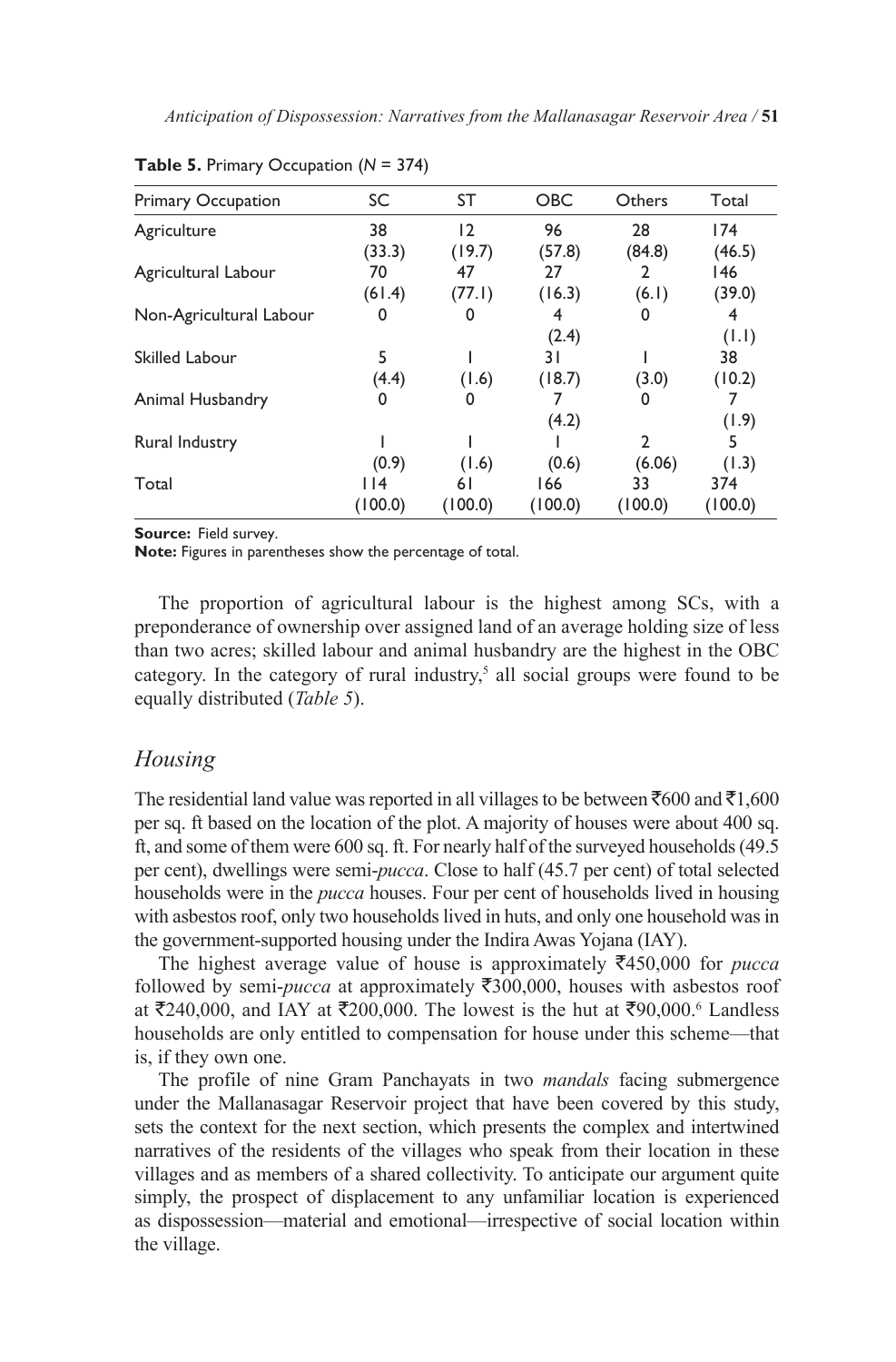| Primary Occupation      | <b>SC</b> | ST             | <b>OBC</b> | Others         | Total   |
|-------------------------|-----------|----------------|------------|----------------|---------|
| Agriculture             | 38        | $\overline{2}$ | 96         | 28             | 174     |
|                         | (33.3)    | (19.7)         | (57.8)     | (84.8)         | (46.5)  |
| Agricultural Labour     | 70        | 47             | 27         | 2              | 146     |
|                         | (61.4)    | (77.1)         | (16.3)     | (6.1)          | (39.0)  |
| Non-Agricultural Labour | 0         | 0              | 4          | 0              | 4       |
|                         |           |                | (2.4)      |                | (1.1)   |
| Skilled Labour          | 5         |                | 3 I        |                | 38      |
|                         | (4.4)     | (1.6)          | (18.7)     | (3.0)          | (10.2)  |
| Animal Husbandry        | 0         | 0              |            | O              |         |
|                         |           |                | (4.2)      |                | (1.9)   |
| Rural Industry          |           |                |            | $\overline{2}$ | 5       |
|                         | (0.9)     | (1.6)          | (0.6)      | (6.06)         | (1.3)   |
| Total                   | ۱۱4       | 6 I            | 166        | 33             | 374     |
|                         | (100.0)   | (100.0)        | (100.0)    | (100.0)        | (100.0) |

**Table 5.** Primary Occupation (*N* = 374)

**Source:** Field survey.

**Note:** Figures in parentheses show the percentage of total.

The proportion of agricultural labour is the highest among SCs, with a preponderance of ownership over assigned land of an average holding size of less than two acres; skilled labour and animal husbandry are the highest in the OBC category. In the category of rural industry,<sup>5</sup> all social groups were found to be equally distributed (*Table 5*).

#### *Housing*

The residential land value was reported in all villages to be between  $\bar{c}600$  and  $\bar{c}1,600$ per sq. ft based on the location of the plot. A majority of houses were about 400 sq. ft, and some of them were 600 sq. ft. For nearly half of the surveyed households (49.5 per cent), dwellings were semi-*pucca*. Close to half (45.7 per cent) of total selected households were in the *pucca* houses. Four per cent of households lived in housing with asbestos roof, only two households lived in huts, and only one household was in the government-supported housing under the Indira Awas Yojana (IAY).

The highest average value of house is approximately  $\overline{(}450,000)$  for *pucca* followed by semi-*pucca* at approximately  $\overline{$}300,000$ , houses with asbestos roof at  $\overline{5}240,000$ , and IAY at  $\overline{5}200,000$ . The lowest is the hut at  $\overline{5}90,000$ .<sup>6</sup> Landless households are only entitled to compensation for house under this scheme—that is, if they own one.

The profile of nine Gram Panchayats in two *mandals* facing submergence under the Mallanasagar Reservoir project that have been covered by this study, sets the context for the next section, which presents the complex and intertwined narratives of the residents of the villages who speak from their location in these villages and as members of a shared collectivity. To anticipate our argument quite simply, the prospect of displacement to any unfamiliar location is experienced as dispossession—material and emotional—irrespective of social location within the village.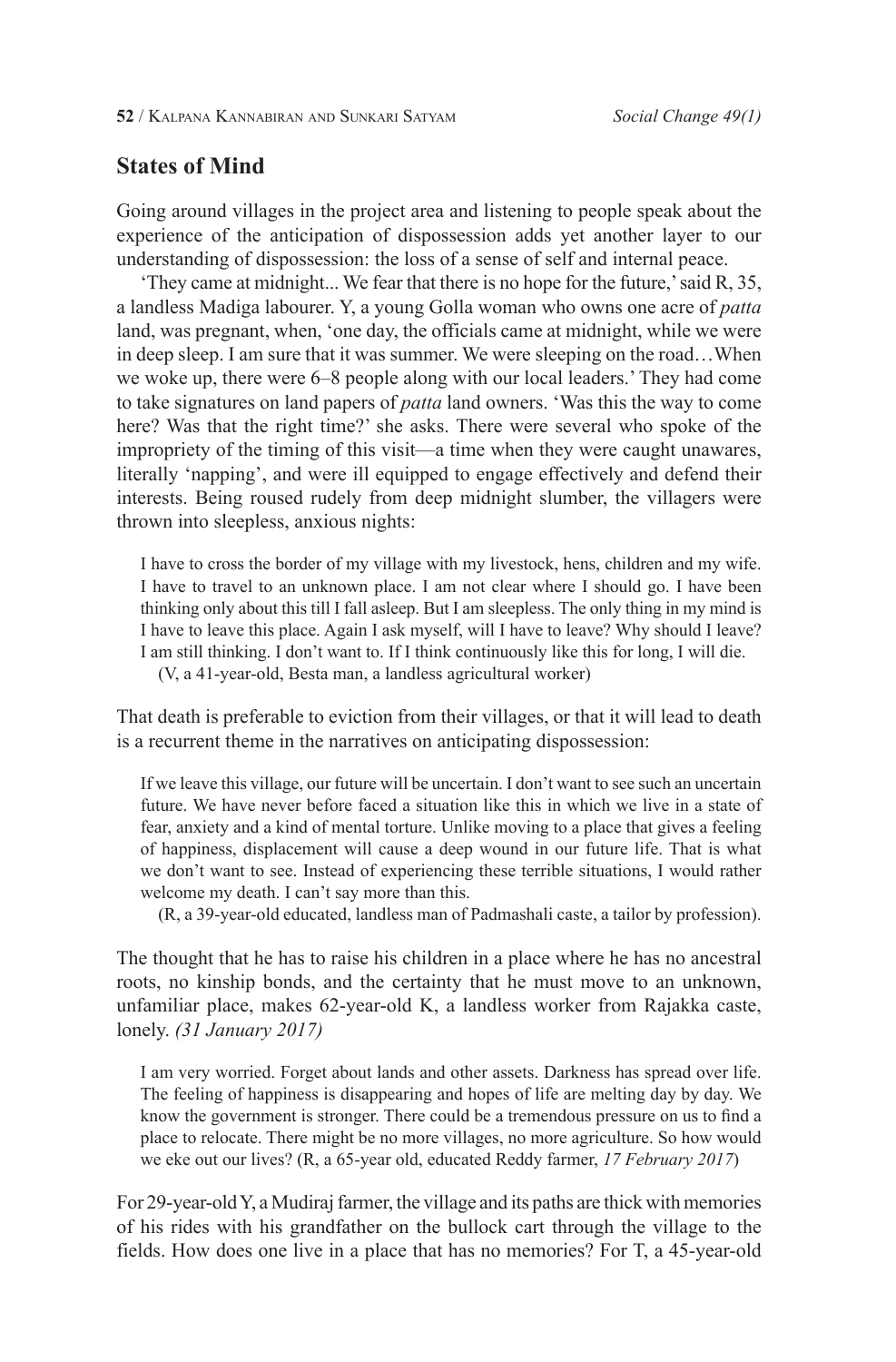# **States of Mind**

Going around villages in the project area and listening to people speak about the experience of the anticipation of dispossession adds yet another layer to our understanding of dispossession: the loss of a sense of self and internal peace.

'They came at midnight... We fear that there is no hope for the future,' said R, 35, a landless Madiga labourer. Y, a young Golla woman who owns one acre of *patta* land, was pregnant, when, 'one day, the officials came at midnight, while we were in deep sleep. I am sure that it was summer. We were sleeping on the road…When we woke up, there were 6–8 people along with our local leaders.' They had come to take signatures on land papers of *patta* land owners. 'Was this the way to come here? Was that the right time?' she asks. There were several who spoke of the impropriety of the timing of this visit—a time when they were caught unawares, literally 'napping', and were ill equipped to engage effectively and defend their interests. Being roused rudely from deep midnight slumber, the villagers were thrown into sleepless, anxious nights:

I have to cross the border of my village with my livestock, hens, children and my wife. I have to travel to an unknown place. I am not clear where I should go. I have been thinking only about this till I fall asleep. But I am sleepless. The only thing in my mind is I have to leave this place. Again I ask myself, will I have to leave? Why should I leave? I am still thinking. I don't want to. If I think continuously like this for long, I will die.

(V, a 41-year-old, Besta man, a landless agricultural worker)

That death is preferable to eviction from their villages, or that it will lead to death is a recurrent theme in the narratives on anticipating dispossession:

If we leave this village, our future will be uncertain. I don't want to see such an uncertain future. We have never before faced a situation like this in which we live in a state of fear, anxiety and a kind of mental torture. Unlike moving to a place that gives a feeling of happiness, displacement will cause a deep wound in our future life. That is what we don't want to see. Instead of experiencing these terrible situations, I would rather welcome my death. I can't say more than this.

(R, a 39-year-old educated, landless man of Padmashali caste, a tailor by profession).

The thought that he has to raise his children in a place where he has no ancestral roots, no kinship bonds, and the certainty that he must move to an unknown, unfamiliar place, makes 62-year-old K, a landless worker from Rajakka caste, lonely. *(31 January 2017)*

I am very worried. Forget about lands and other assets. Darkness has spread over life. The feeling of happiness is disappearing and hopes of life are melting day by day. We know the government is stronger. There could be a tremendous pressure on us to find a place to relocate. There might be no more villages, no more agriculture. So how would we eke out our lives? (R, a 65-year old, educated Reddy farmer, *17 February 2017*)

For 29-year-old Y, a Mudiraj farmer, the village and its paths are thick with memories of his rides with his grandfather on the bullock cart through the village to the fields. How does one live in a place that has no memories? For T, a 45-year-old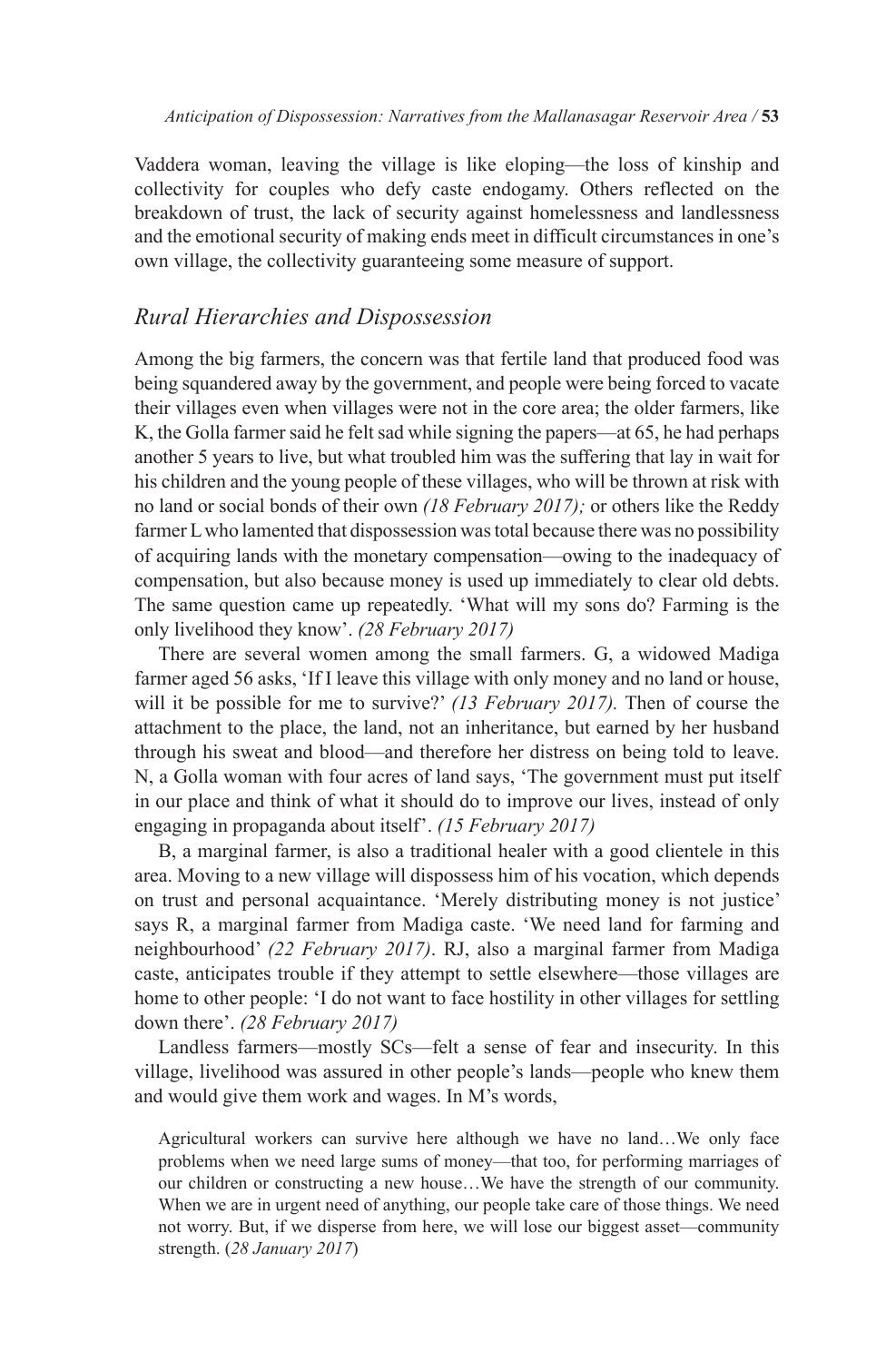Vaddera woman, leaving the village is like eloping—the loss of kinship and collectivity for couples who defy caste endogamy. Others reflected on the breakdown of trust, the lack of security against homelessness and landlessness and the emotional security of making ends meet in difficult circumstances in one's own village, the collectivity guaranteeing some measure of support.

## *Rural Hierarchies and Dispossession*

Among the big farmers, the concern was that fertile land that produced food was being squandered away by the government, and people were being forced to vacate their villages even when villages were not in the core area; the older farmers, like K, the Golla farmer said he felt sad while signing the papers—at 65, he had perhaps another 5 years to live, but what troubled him was the suffering that lay in wait for his children and the young people of these villages, who will be thrown at risk with no land or social bonds of their own *(18 February 2017);* or others like the Reddy farmer L who lamented that dispossession was total because there was no possibility of acquiring lands with the monetary compensation—owing to the inadequacy of compensation, but also because money is used up immediately to clear old debts. The same question came up repeatedly. 'What will my sons do? Farming is the only livelihood they know'. *(28 February 2017)*

There are several women among the small farmers. G, a widowed Madiga farmer aged 56 asks, 'If I leave this village with only money and no land or house, will it be possible for me to survive?' *(13 February 2017).* Then of course the attachment to the place, the land, not an inheritance, but earned by her husband through his sweat and blood—and therefore her distress on being told to leave. N, a Golla woman with four acres of land says, 'The government must put itself in our place and think of what it should do to improve our lives, instead of only engaging in propaganda about itself'. *(15 February 2017)*

B, a marginal farmer, is also a traditional healer with a good clientele in this area. Moving to a new village will dispossess him of his vocation, which depends on trust and personal acquaintance. 'Merely distributing money is not justice' says R, a marginal farmer from Madiga caste. 'We need land for farming and neighbourhood' *(22 February 2017)*. RJ, also a marginal farmer from Madiga caste, anticipates trouble if they attempt to settle elsewhere—those villages are home to other people: 'I do not want to face hostility in other villages for settling down there'. *(28 February 2017)*

Landless farmers—mostly SCs—felt a sense of fear and insecurity. In this village, livelihood was assured in other people's lands—people who knew them and would give them work and wages. In M's words,

Agricultural workers can survive here although we have no land…We only face problems when we need large sums of money—that too, for performing marriages of our children or constructing a new house…We have the strength of our community. When we are in urgent need of anything, our people take care of those things. We need not worry. But, if we disperse from here, we will lose our biggest asset—community strength. (*28 January 2017*)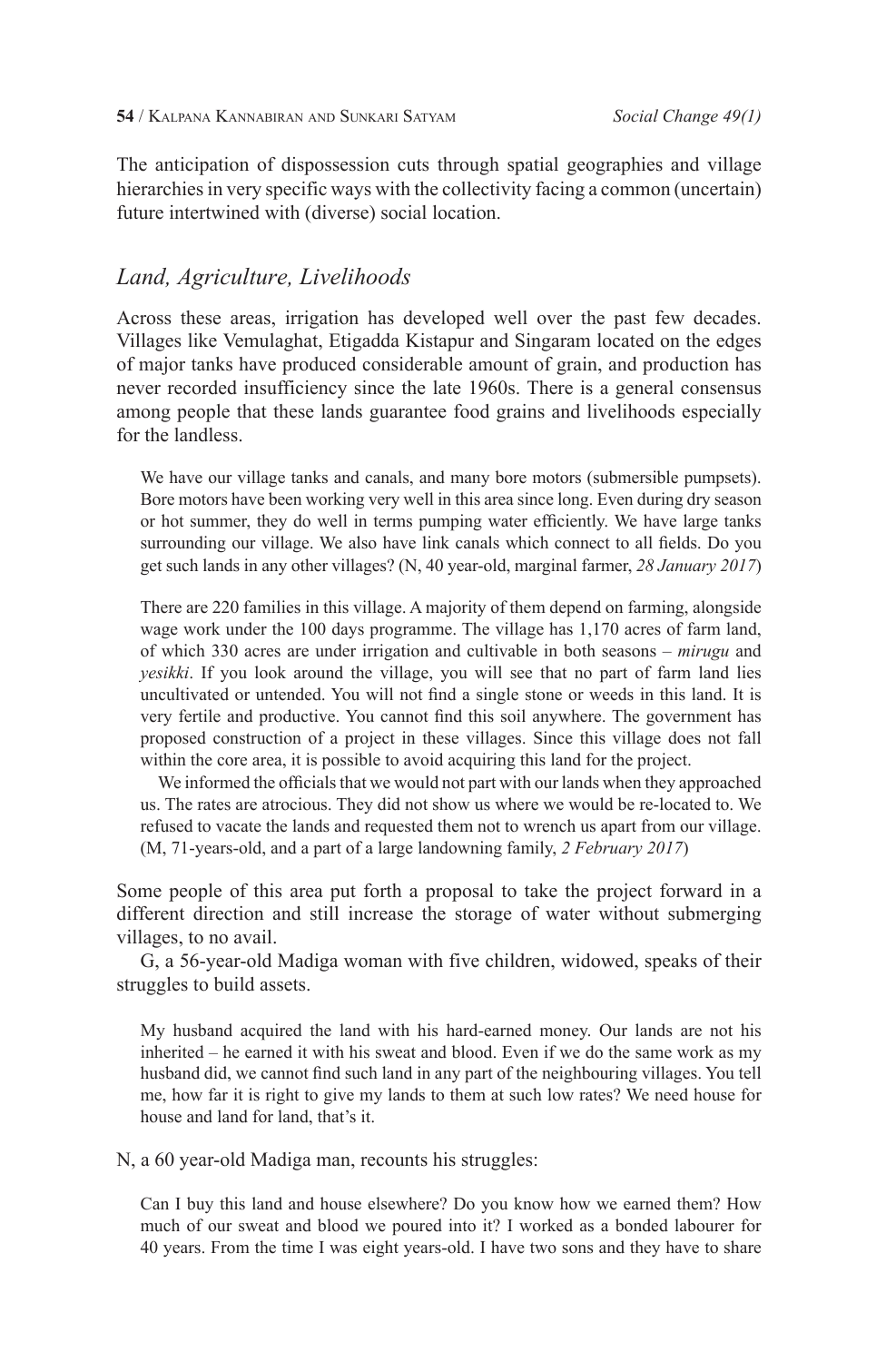The anticipation of dispossession cuts through spatial geographies and village hierarchies in very specific ways with the collectivity facing a common (uncertain) future intertwined with (diverse) social location.

## *Land, Agriculture, Livelihoods*

Across these areas, irrigation has developed well over the past few decades. Villages like Vemulaghat, Etigadda Kistapur and Singaram located on the edges of major tanks have produced considerable amount of grain, and production has never recorded insufficiency since the late 1960s. There is a general consensus among people that these lands guarantee food grains and livelihoods especially for the landless.

We have our village tanks and canals, and many bore motors (submersible pumpsets). Bore motors have been working very well in this area since long. Even during dry season or hot summer, they do well in terms pumping water efficiently. We have large tanks surrounding our village. We also have link canals which connect to all fields. Do you get such lands in any other villages? (N, 40 year-old, marginal farmer, *28 January 2017*)

There are 220 families in this village. A majority of them depend on farming, alongside wage work under the 100 days programme. The village has 1,170 acres of farm land, of which 330 acres are under irrigation and cultivable in both seasons – *mirugu* and *yesikki*. If you look around the village, you will see that no part of farm land lies uncultivated or untended. You will not find a single stone or weeds in this land. It is very fertile and productive. You cannot find this soil anywhere. The government has proposed construction of a project in these villages. Since this village does not fall within the core area, it is possible to avoid acquiring this land for the project.

We informed the officials that we would not part with our lands when they approached us. The rates are atrocious. They did not show us where we would be re-located to. We refused to vacate the lands and requested them not to wrench us apart from our village. (M, 71-years-old, and a part of a large landowning family, *2 February 2017*)

Some people of this area put forth a proposal to take the project forward in a different direction and still increase the storage of water without submerging villages, to no avail.

G, a 56-year-old Madiga woman with five children, widowed, speaks of their struggles to build assets.

My husband acquired the land with his hard-earned money. Our lands are not his inherited – he earned it with his sweat and blood. Even if we do the same work as my husband did, we cannot find such land in any part of the neighbouring villages. You tell me, how far it is right to give my lands to them at such low rates? We need house for house and land for land, that's it.

N, a 60 year-old Madiga man, recounts his struggles:

Can I buy this land and house elsewhere? Do you know how we earned them? How much of our sweat and blood we poured into it? I worked as a bonded labourer for 40 years. From the time I was eight years-old. I have two sons and they have to share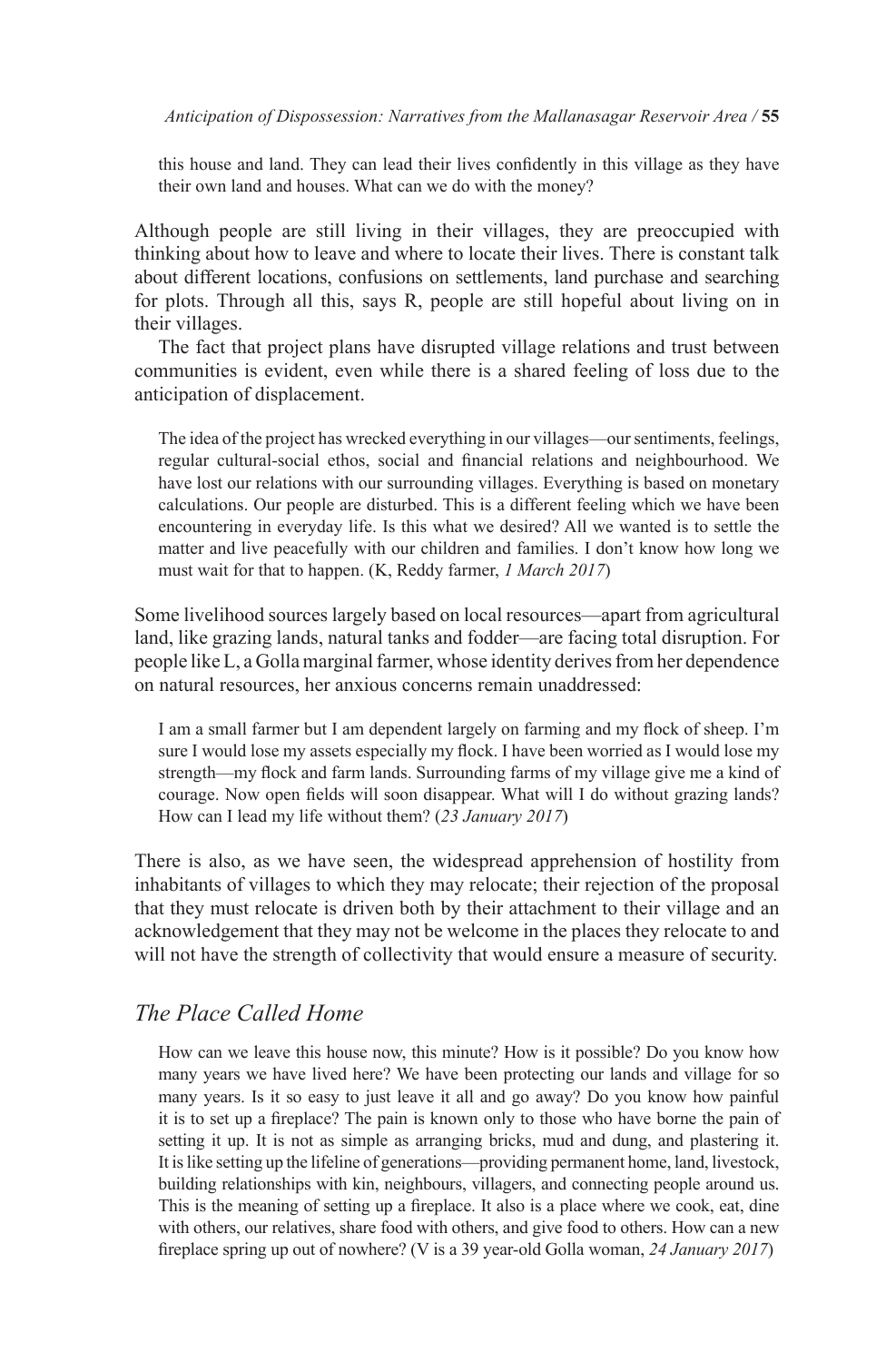*Anticipation of Dispossession: Narratives from the Mallanasagar Reservoir Area /* **55**

this house and land. They can lead their lives confidently in this village as they have their own land and houses. What can we do with the money?

Although people are still living in their villages, they are preoccupied with thinking about how to leave and where to locate their lives. There is constant talk about different locations, confusions on settlements, land purchase and searching for plots. Through all this, says R, people are still hopeful about living on in their villages.

The fact that project plans have disrupted village relations and trust between communities is evident, even while there is a shared feeling of loss due to the anticipation of displacement.

The idea of the project has wrecked everything in our villages—our sentiments, feelings, regular cultural-social ethos, social and financial relations and neighbourhood. We have lost our relations with our surrounding villages. Everything is based on monetary calculations. Our people are disturbed. This is a different feeling which we have been encountering in everyday life. Is this what we desired? All we wanted is to settle the matter and live peacefully with our children and families. I don't know how long we must wait for that to happen. (K, Reddy farmer, *1 March 2017*)

Some livelihood sources largely based on local resources—apart from agricultural land, like grazing lands, natural tanks and fodder—are facing total disruption. For people like L, a Golla marginal farmer, whose identity derives from her dependence on natural resources, her anxious concerns remain unaddressed:

I am a small farmer but I am dependent largely on farming and my flock of sheep. I'm sure I would lose my assets especially my flock. I have been worried as I would lose my strength—my flock and farm lands. Surrounding farms of my village give me a kind of courage. Now open fields will soon disappear. What will I do without grazing lands? How can I lead my life without them? (*23 January 2017*)

There is also, as we have seen, the widespread apprehension of hostility from inhabitants of villages to which they may relocate; their rejection of the proposal that they must relocate is driven both by their attachment to their village and an acknowledgement that they may not be welcome in the places they relocate to and will not have the strength of collectivity that would ensure a measure of security.

## *The Place Called Home*

How can we leave this house now, this minute? How is it possible? Do you know how many years we have lived here? We have been protecting our lands and village for so many years. Is it so easy to just leave it all and go away? Do you know how painful it is to set up a fireplace? The pain is known only to those who have borne the pain of setting it up. It is not as simple as arranging bricks, mud and dung, and plastering it. It is like setting up the lifeline of generations—providing permanent home, land, livestock, building relationships with kin, neighbours, villagers, and connecting people around us. This is the meaning of setting up a fireplace. It also is a place where we cook, eat, dine with others, our relatives, share food with others, and give food to others. How can a new fireplace spring up out of nowhere? (V is a 39 year-old Golla woman, *24 January 2017*)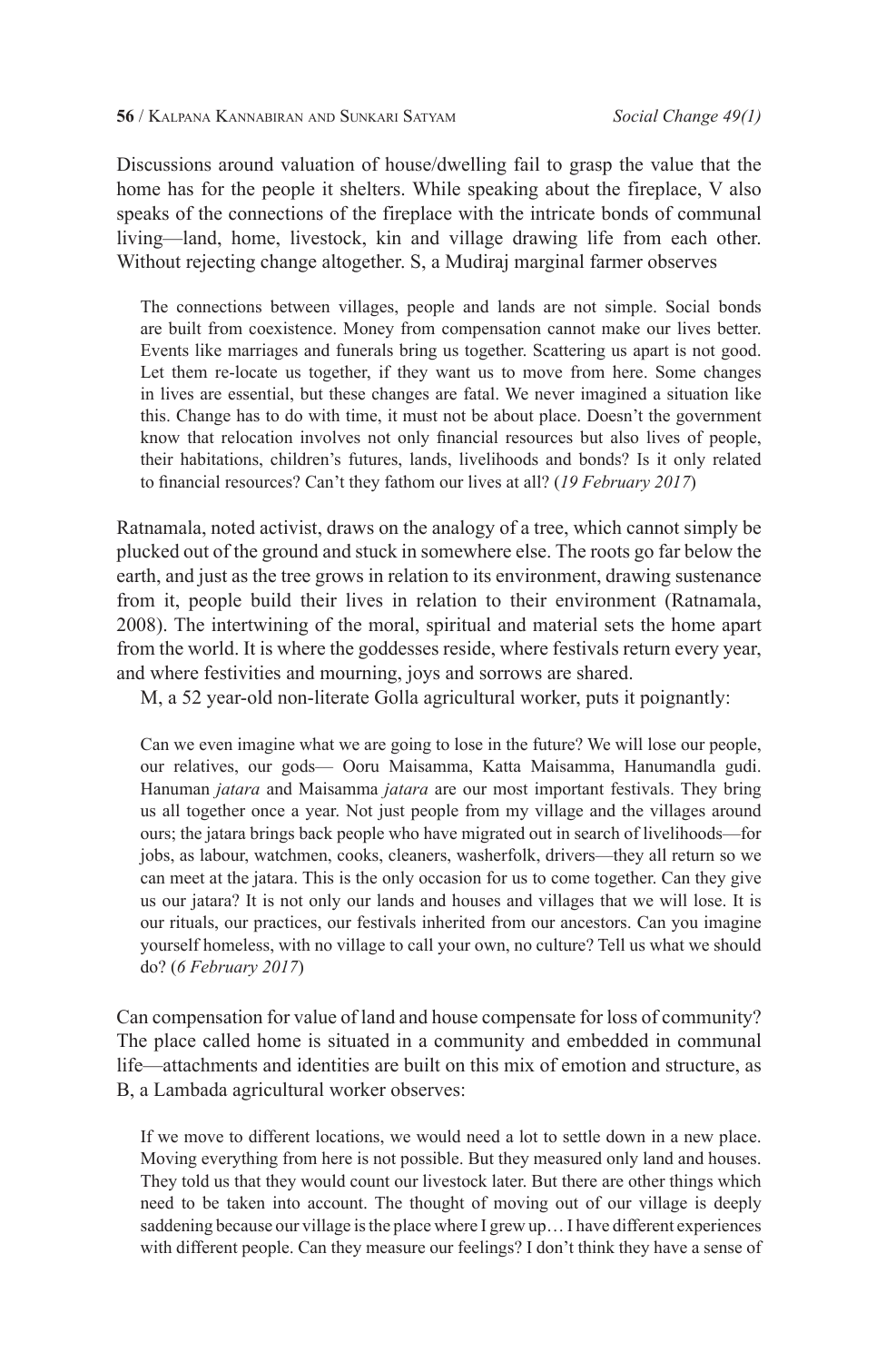Discussions around valuation of house/dwelling fail to grasp the value that the home has for the people it shelters. While speaking about the fireplace, V also speaks of the connections of the fireplace with the intricate bonds of communal living—land, home, livestock, kin and village drawing life from each other. Without rejecting change altogether. S, a Mudiraj marginal farmer observes

The connections between villages, people and lands are not simple. Social bonds are built from coexistence. Money from compensation cannot make our lives better. Events like marriages and funerals bring us together. Scattering us apart is not good. Let them re-locate us together, if they want us to move from here. Some changes in lives are essential, but these changes are fatal. We never imagined a situation like this. Change has to do with time, it must not be about place. Doesn't the government know that relocation involves not only financial resources but also lives of people, their habitations, children's futures, lands, livelihoods and bonds? Is it only related to financial resources? Can't they fathom our lives at all? (*19 February 2017*)

Ratnamala, noted activist, draws on the analogy of a tree, which cannot simply be plucked out of the ground and stuck in somewhere else. The roots go far below the earth, and just as the tree grows in relation to its environment, drawing sustenance from it, people build their lives in relation to their environment (Ratnamala, 2008). The intertwining of the moral, spiritual and material sets the home apart from the world. It is where the goddesses reside, where festivals return every year, and where festivities and mourning, joys and sorrows are shared.

M, a 52 year-old non-literate Golla agricultural worker, puts it poignantly:

Can we even imagine what we are going to lose in the future? We will lose our people, our relatives, our gods— Ooru Maisamma, Katta Maisamma, Hanumandla gudi. Hanuman *jatara* and Maisamma *jatara* are our most important festivals. They bring us all together once a year. Not just people from my village and the villages around ours; the jatara brings back people who have migrated out in search of livelihoods—for jobs, as labour, watchmen, cooks, cleaners, washerfolk, drivers—they all return so we can meet at the jatara. This is the only occasion for us to come together. Can they give us our jatara? It is not only our lands and houses and villages that we will lose. It is our rituals, our practices, our festivals inherited from our ancestors. Can you imagine yourself homeless, with no village to call your own, no culture? Tell us what we should do? (*6 February 2017*)

Can compensation for value of land and house compensate for loss of community? The place called home is situated in a community and embedded in communal life—attachments and identities are built on this mix of emotion and structure, as B, a Lambada agricultural worker observes:

If we move to different locations, we would need a lot to settle down in a new place. Moving everything from here is not possible. But they measured only land and houses. They told us that they would count our livestock later. But there are other things which need to be taken into account. The thought of moving out of our village is deeply saddening because our village is the place where I grew up… I have different experiences with different people. Can they measure our feelings? I don't think they have a sense of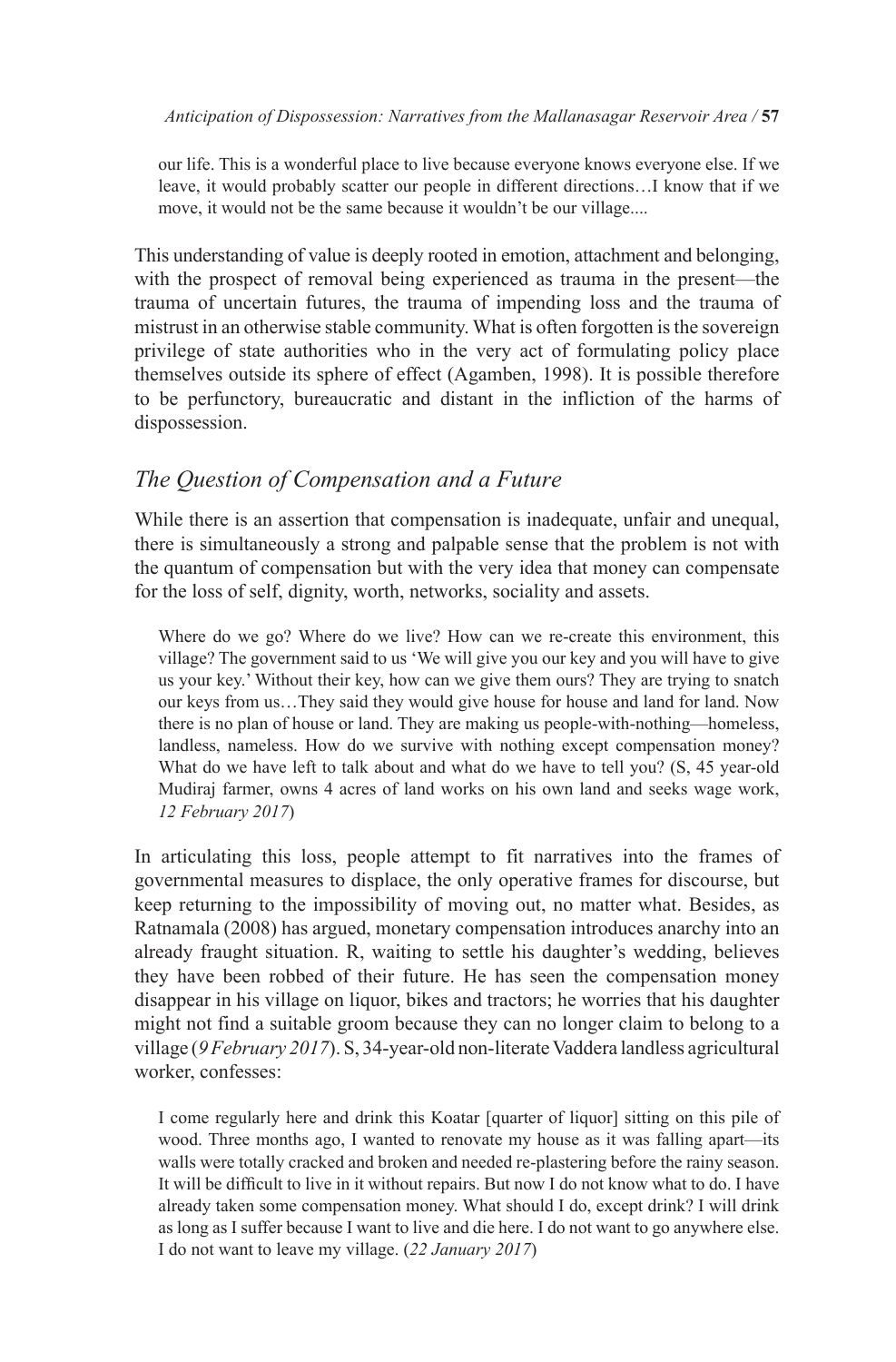*Anticipation of Dispossession: Narratives from the Mallanasagar Reservoir Area /* **57**

our life. This is a wonderful place to live because everyone knows everyone else. If we leave, it would probably scatter our people in different directions…I know that if we move, it would not be the same because it wouldn't be our village....

This understanding of value is deeply rooted in emotion, attachment and belonging, with the prospect of removal being experienced as trauma in the present—the trauma of uncertain futures, the trauma of impending loss and the trauma of mistrust in an otherwise stable community. What is often forgotten is the sovereign privilege of state authorities who in the very act of formulating policy place themselves outside its sphere of effect (Agamben, 1998). It is possible therefore to be perfunctory, bureaucratic and distant in the infliction of the harms of dispossession.

# *The Question of Compensation and a Future*

While there is an assertion that compensation is inadequate, unfair and unequal, there is simultaneously a strong and palpable sense that the problem is not with the quantum of compensation but with the very idea that money can compensate for the loss of self, dignity, worth, networks, sociality and assets.

Where do we go? Where do we live? How can we re-create this environment, this village? The government said to us 'We will give you our key and you will have to give us your key.' Without their key, how can we give them ours? They are trying to snatch our keys from us…They said they would give house for house and land for land. Now there is no plan of house or land. They are making us people-with-nothing—homeless, landless, nameless. How do we survive with nothing except compensation money? What do we have left to talk about and what do we have to tell you? (S, 45 year-old Mudiraj farmer, owns 4 acres of land works on his own land and seeks wage work, *12 February 2017*)

In articulating this loss, people attempt to fit narratives into the frames of governmental measures to displace, the only operative frames for discourse, but keep returning to the impossibility of moving out, no matter what. Besides, as Ratnamala (2008) has argued, monetary compensation introduces anarchy into an already fraught situation. R, waiting to settle his daughter's wedding, believes they have been robbed of their future. He has seen the compensation money disappear in his village on liquor, bikes and tractors; he worries that his daughter might not find a suitable groom because they can no longer claim to belong to a village (*9 February 2017*). S, 34-year-old non-literate Vaddera landless agricultural worker, confesses:

I come regularly here and drink this Koatar [quarter of liquor] sitting on this pile of wood. Three months ago, I wanted to renovate my house as it was falling apart—its walls were totally cracked and broken and needed re-plastering before the rainy season. It will be difficult to live in it without repairs. But now I do not know what to do. I have already taken some compensation money. What should I do, except drink? I will drink as long as I suffer because I want to live and die here. I do not want to go anywhere else. I do not want to leave my village. (*22 January 2017*)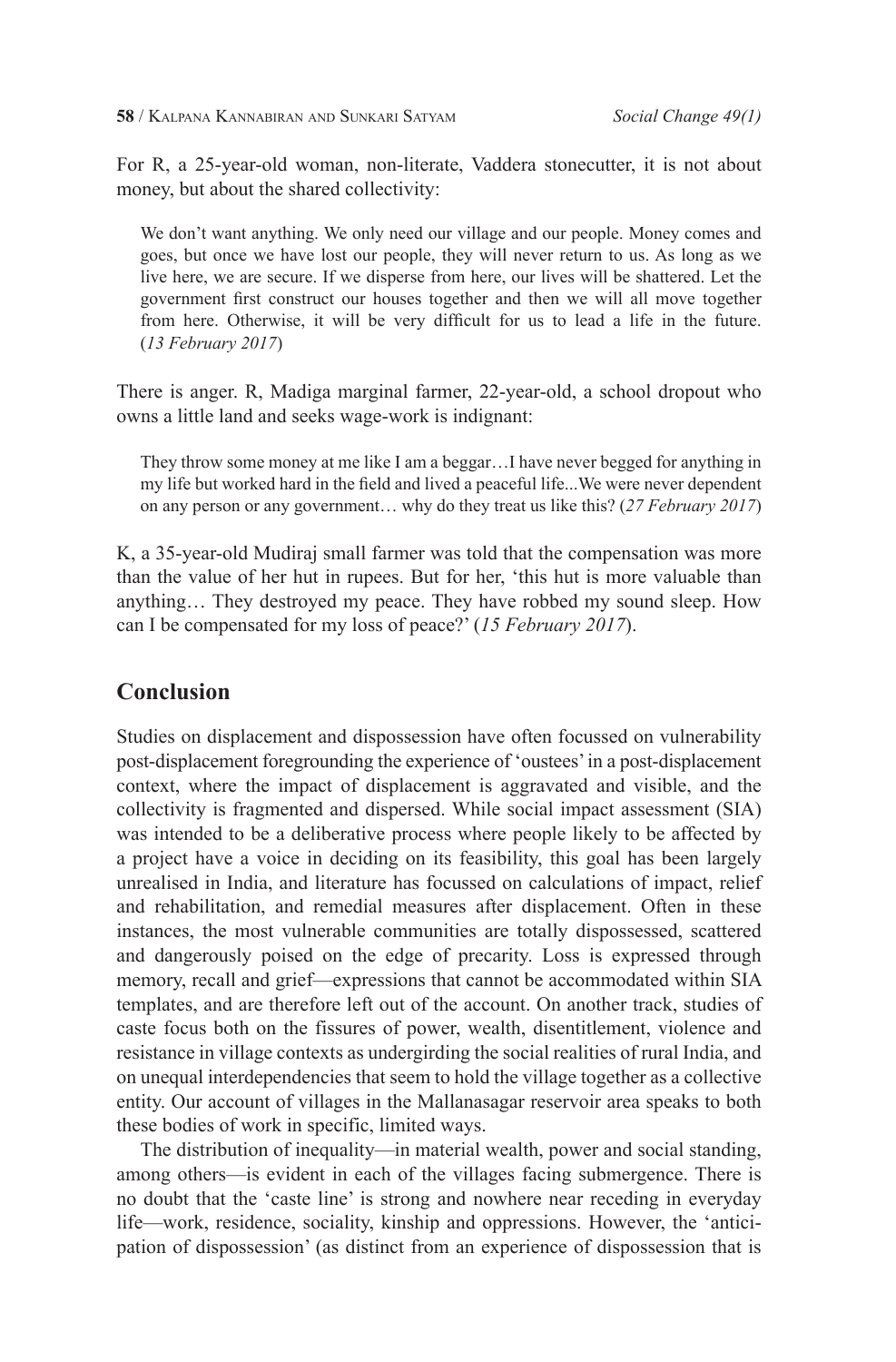For R, a 25-year-old woman, non-literate, Vaddera stonecutter, it is not about money, but about the shared collectivity:

We don't want anything. We only need our village and our people. Money comes and goes, but once we have lost our people, they will never return to us. As long as we live here, we are secure. If we disperse from here, our lives will be shattered. Let the government first construct our houses together and then we will all move together from here. Otherwise, it will be very difficult for us to lead a life in the future. (*13 February 2017*)

There is anger. R, Madiga marginal farmer, 22-year-old, a school dropout who owns a little land and seeks wage-work is indignant:

They throw some money at me like I am a beggar…I have never begged for anything in my life but worked hard in the field and lived a peaceful life...We were never dependent on any person or any government… why do they treat us like this? (*27 February 2017*)

K, a 35-year-old Mudiraj small farmer was told that the compensation was more than the value of her hut in rupees. But for her, 'this hut is more valuable than anything… They destroyed my peace. They have robbed my sound sleep. How can I be compensated for my loss of peace?' (*15 February 2017*).

# **Conclusion**

Studies on displacement and dispossession have often focussed on vulnerability post-displacement foregrounding the experience of 'oustees' in a post-displacement context, where the impact of displacement is aggravated and visible, and the collectivity is fragmented and dispersed. While social impact assessment (SIA) was intended to be a deliberative process where people likely to be affected by a project have a voice in deciding on its feasibility, this goal has been largely unrealised in India, and literature has focussed on calculations of impact, relief and rehabilitation, and remedial measures after displacement. Often in these instances, the most vulnerable communities are totally dispossessed, scattered and dangerously poised on the edge of precarity. Loss is expressed through memory, recall and grief—expressions that cannot be accommodated within SIA templates, and are therefore left out of the account. On another track, studies of caste focus both on the fissures of power, wealth, disentitlement, violence and resistance in village contexts as undergirding the social realities of rural India, and on unequal interdependencies that seem to hold the village together as a collective entity. Our account of villages in the Mallanasagar reservoir area speaks to both these bodies of work in specific, limited ways.

The distribution of inequality—in material wealth, power and social standing, among others—is evident in each of the villages facing submergence. There is no doubt that the 'caste line' is strong and nowhere near receding in everyday life—work, residence, sociality, kinship and oppressions. However, the 'anticipation of dispossession' (as distinct from an experience of dispossession that is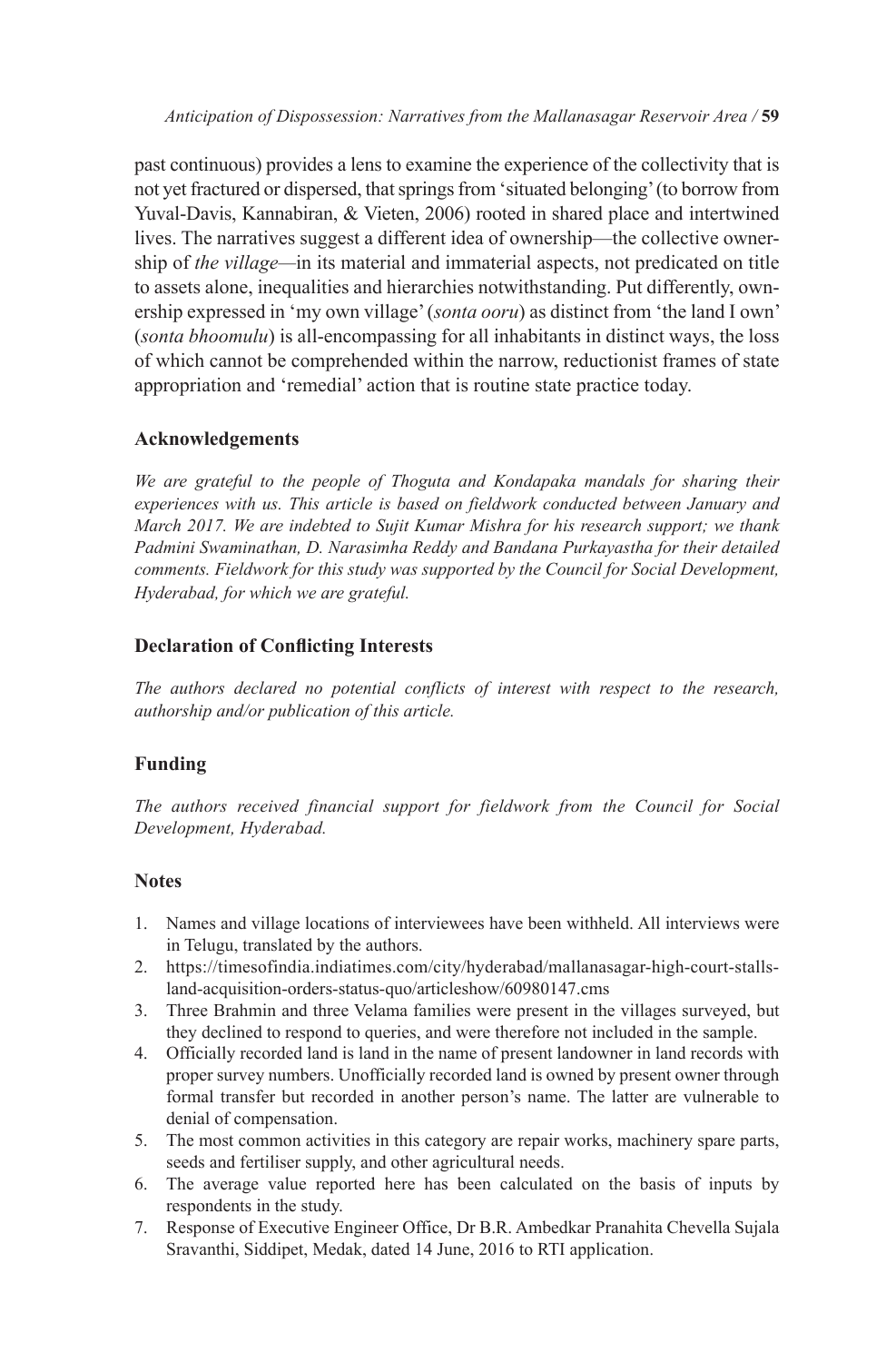*Anticipation of Dispossession: Narratives from the Mallanasagar Reservoir Area /* **59**

past continuous) provides a lens to examine the experience of the collectivity that is not yet fractured or dispersed, that springs from 'situated belonging' (to borrow from Yuval-Davis, Kannabiran, & Vieten, 2006) rooted in shared place and intertwined lives. The narratives suggest a different idea of ownership—the collective ownership of *the village—*in its material and immaterial aspects, not predicated on title to assets alone, inequalities and hierarchies notwithstanding. Put differently, ownership expressed in 'my own village' (*sonta ooru*) as distinct from 'the land I own' (*sonta bhoomulu*) is all-encompassing for all inhabitants in distinct ways, the loss of which cannot be comprehended within the narrow, reductionist frames of state appropriation and 'remedial' action that is routine state practice today.

#### **Acknowledgements**

*We are grateful to the people of Thoguta and Kondapaka mandals for sharing their experiences with us. This article is based on fieldwork conducted between January and March 2017. We are indebted to Sujit Kumar Mishra for his research support; we thank Padmini Swaminathan, D. Narasimha Reddy and Bandana Purkayastha for their detailed comments. Fieldwork for this study was supported by the Council for Social Development, Hyderabad, for which we are grateful.*

#### **Declaration of Conflicting Interests**

*The authors declared no potential conflicts of interest with respect to the research, authorship and/or publication of this article.*

#### **Funding**

*The authors received financial support for fieldwork from the Council for Social Development, Hyderabad.*

#### **Notes**

- 1. Names and village locations of interviewees have been withheld. All interviews were in Telugu, translated by the authors.
- 2. https://timesofindia.indiatimes.com/city/hyderabad/mallanasagar-high-court-stallsland-acquisition-orders-status-quo/articleshow/60980147.cms
- 3. Three Brahmin and three Velama families were present in the villages surveyed, but they declined to respond to queries, and were therefore not included in the sample.
- 4. Officially recorded land is land in the name of present landowner in land records with proper survey numbers. Unofficially recorded land is owned by present owner through formal transfer but recorded in another person's name. The latter are vulnerable to denial of compensation.
- 5. The most common activities in this category are repair works, machinery spare parts, seeds and fertiliser supply, and other agricultural needs.
- 6. The average value reported here has been calculated on the basis of inputs by respondents in the study.
- 7. Response of Executive Engineer Office, Dr B.R. Ambedkar Pranahita Chevella Sujala Sravanthi, Siddipet, Medak, dated 14 June, 2016 to RTI application.